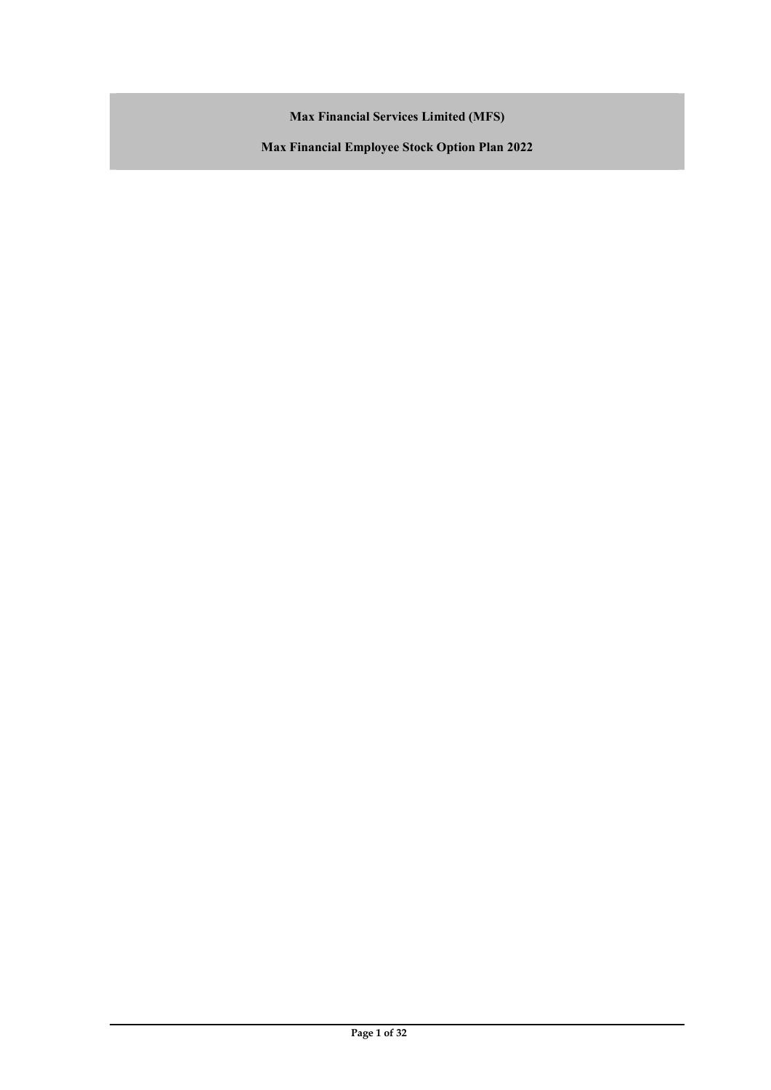Max Financial Services Limited (MFS)

Max Financial Employee Stock Option Plan 2022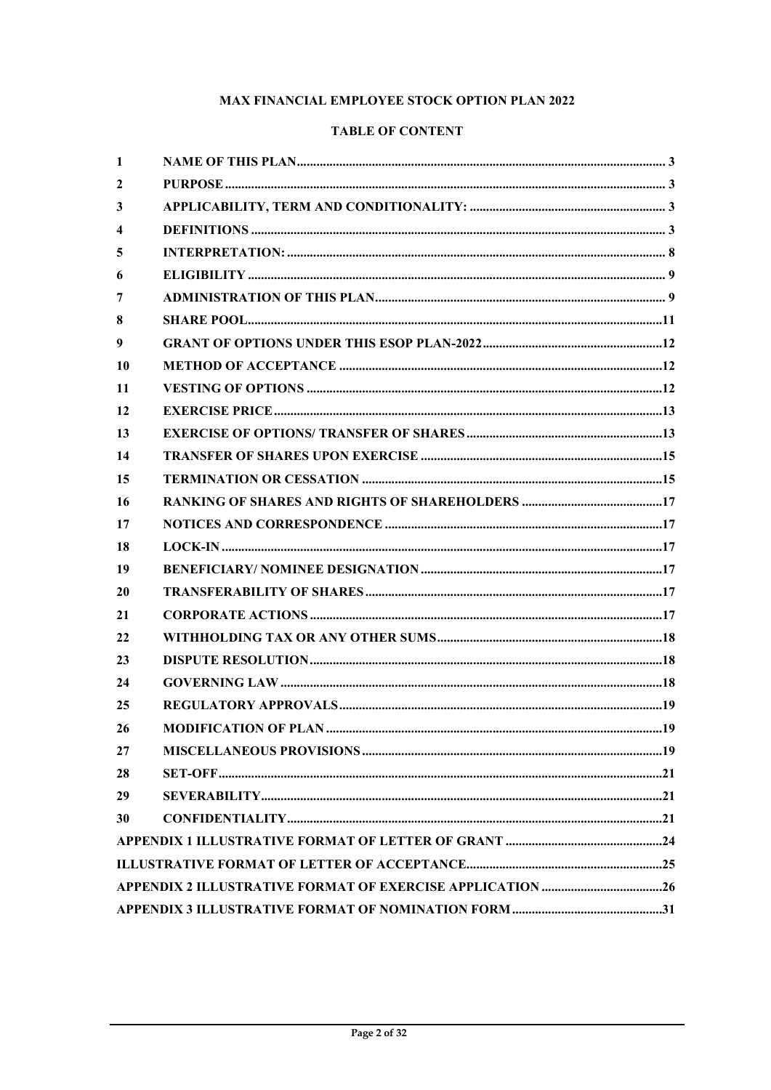# MAX FINANCIAL EMPLOYEE STOCK OPTION PLAN 2022

## **TABLE OF CONTENT**

| 1                       |  |
|-------------------------|--|
| $\boldsymbol{2}$        |  |
| 3                       |  |
| $\overline{\mathbf{4}}$ |  |
| 5                       |  |
| 6                       |  |
| 7                       |  |
| 8                       |  |
| 9                       |  |
| 10                      |  |
| 11                      |  |
| 12                      |  |
| 13                      |  |
| 14                      |  |
| 15                      |  |
| 16                      |  |
| 17                      |  |
| 18                      |  |
| 19                      |  |
| 20                      |  |
| 21                      |  |
|                         |  |
| 22                      |  |
| 23                      |  |
| 24                      |  |
| 25                      |  |
| 26                      |  |
| 27                      |  |
| 28                      |  |
| 29                      |  |
| 30                      |  |
|                         |  |
|                         |  |
|                         |  |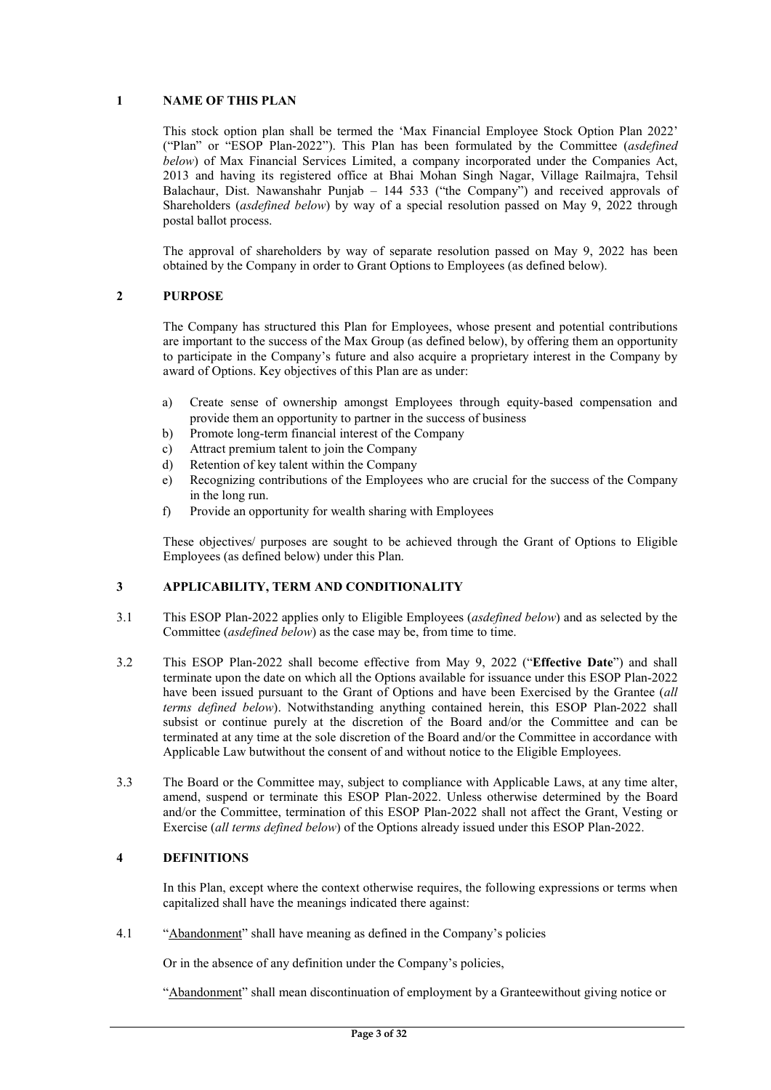## 1 NAME OF THIS PLAN

This stock option plan shall be termed the 'Max Financial Employee Stock Option Plan 2022' ("Plan" or "ESOP Plan-2022"). This Plan has been formulated by the Committee (asdefined below) of Max Financial Services Limited, a company incorporated under the Companies Act, 2013 and having its registered office at Bhai Mohan Singh Nagar, Village Railmajra, Tehsil Balachaur, Dist. Nawanshahr Punjab – 144 533 ("the Company") and received approvals of Shareholders (asdefined below) by way of a special resolution passed on May 9, 2022 through postal ballot process.

The approval of shareholders by way of separate resolution passed on May 9, 2022 has been obtained by the Company in order to Grant Options to Employees (as defined below).

#### 2 PURPOSE

The Company has structured this Plan for Employees, whose present and potential contributions are important to the success of the Max Group (as defined below), by offering them an opportunity to participate in the Company's future and also acquire a proprietary interest in the Company by award of Options. Key objectives of this Plan are as under:

- a) Create sense of ownership amongst Employees through equity-based compensation and provide them an opportunity to partner in the success of business
- b) Promote long-term financial interest of the Company
- c) Attract premium talent to join the Company
- d) Retention of key talent within the Company
- e) Recognizing contributions of the Employees who are crucial for the success of the Company in the long run.
- f) Provide an opportunity for wealth sharing with Employees

These objectives/ purposes are sought to be achieved through the Grant of Options to Eligible Employees (as defined below) under this Plan.

## 3 APPLICABILITY, TERM AND CONDITIONALITY

- 3.1 This ESOP Plan-2022 applies only to Eligible Employees (asdefined below) and as selected by the Committee *(asdefined below)* as the case may be, from time to time.
- 3.2 This ESOP Plan-2022 shall become effective from May 9, 2022 ("Effective Date") and shall terminate upon the date on which all the Options available for issuance under this ESOP Plan-2022 have been issued pursuant to the Grant of Options and have been Exercised by the Grantee (all terms defined below). Notwithstanding anything contained herein, this ESOP Plan-2022 shall subsist or continue purely at the discretion of the Board and/or the Committee and can be terminated at any time at the sole discretion of the Board and/or the Committee in accordance with Applicable Law butwithout the consent of and without notice to the Eligible Employees.
- 3.3 The Board or the Committee may, subject to compliance with Applicable Laws, at any time alter, amend, suspend or terminate this ESOP Plan-2022. Unless otherwise determined by the Board and/or the Committee, termination of this ESOP Plan-2022 shall not affect the Grant, Vesting or Exercise (all terms defined below) of the Options already issued under this ESOP Plan-2022.

#### 4 DEFINITIONS

In this Plan, except where the context otherwise requires, the following expressions or terms when capitalized shall have the meanings indicated there against:

4.1 "Abandonment" shall have meaning as defined in the Company's policies

Or in the absence of any definition under the Company's policies,

"Abandonment" shall mean discontinuation of employment by a Granteewithout giving notice or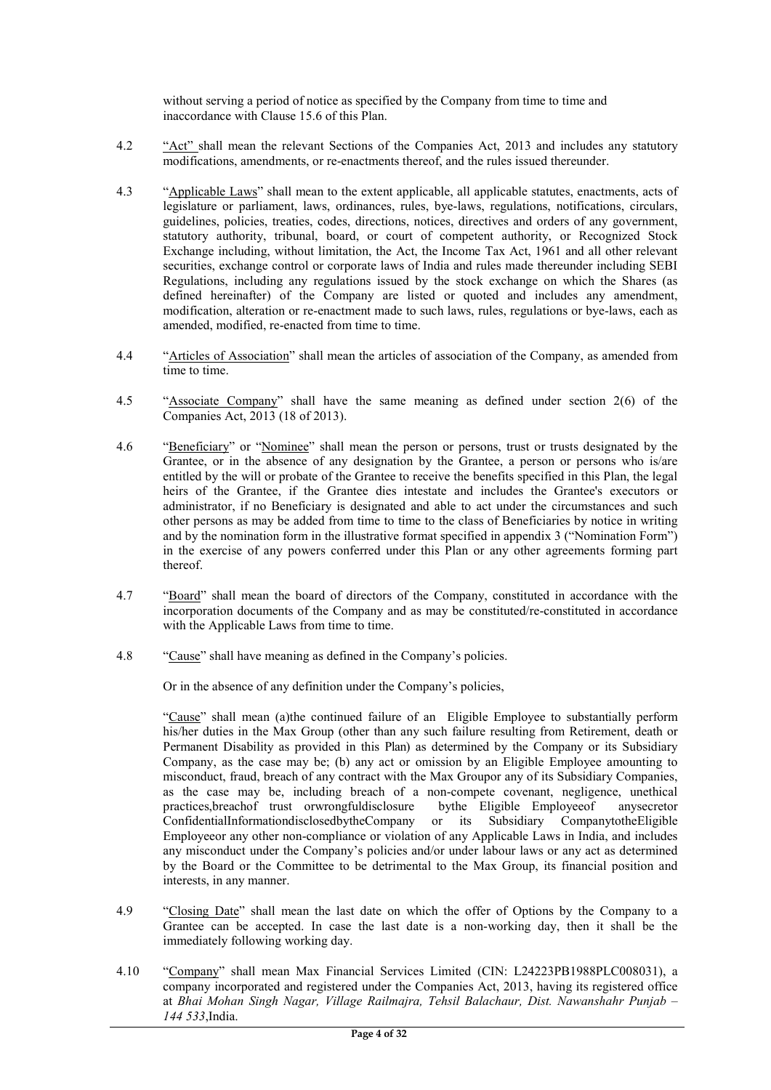without serving a period of notice as specified by the Company from time to time and inaccordance with Clause 15.6 of this Plan.

- 4.2 "<u>Act"</u> shall mean the relevant Sections of the Companies Act, 2013 and includes any statutory modifications, amendments, or re-enactments thereof, and the rules issued thereunder.
- 4.3 "Applicable Laws" shall mean to the extent applicable, all applicable statutes, enactments, acts of legislature or parliament, laws, ordinances, rules, bye-laws, regulations, notifications, circulars, guidelines, policies, treaties, codes, directions, notices, directives and orders of any government, statutory authority, tribunal, board, or court of competent authority, or Recognized Stock Exchange including, without limitation, the Act, the Income Tax Act, 1961 and all other relevant securities, exchange control or corporate laws of India and rules made thereunder including SEBI Regulations, including any regulations issued by the stock exchange on which the Shares (as defined hereinafter) of the Company are listed or quoted and includes any amendment, modification, alteration or re-enactment made to such laws, rules, regulations or bye-laws, each as amended, modified, re-enacted from time to time.
- 4.4 "Articles of Association" shall mean the articles of association of the Company, as amended from time to time.
- 4.5 "Associate Company" shall have the same meaning as defined under section 2(6) of the Companies Act, 2013 (18 of 2013).
- 4.6 "Beneficiary" or "Nominee" shall mean the person or persons, trust or trusts designated by the Grantee, or in the absence of any designation by the Grantee, a person or persons who is/are entitled by the will or probate of the Grantee to receive the benefits specified in this Plan, the legal heirs of the Grantee, if the Grantee dies intestate and includes the Grantee's executors or administrator, if no Beneficiary is designated and able to act under the circumstances and such other persons as may be added from time to time to the class of Beneficiaries by notice in writing and by the nomination form in the illustrative format specified in appendix 3 ("Nomination Form") in the exercise of any powers conferred under this Plan or any other agreements forming part thereof.
- 4.7 "Board" shall mean the board of directors of the Company, constituted in accordance with the incorporation documents of the Company and as may be constituted/re-constituted in accordance with the Applicable Laws from time to time.
- 4.8 "Cause" shall have meaning as defined in the Company's policies.

Or in the absence of any definition under the Company's policies,

"Cause" shall mean (a)the continued failure of an Eligible Employee to substantially perform his/her duties in the Max Group (other than any such failure resulting from Retirement, death or Permanent Disability as provided in this Plan) as determined by the Company or its Subsidiary Company, as the case may be; (b) any act or omission by an Eligible Employee amounting to misconduct, fraud, breach of any contract with the Max Groupor any of its Subsidiary Companies, as the case may be, including breach of a non-compete covenant, negligence, unethical practices,breachof trust orwrongfuldisclosure bythe Eligible Employeeof anysecretor ConfidentialInformationdisclosedbytheCompany or its Subsidiary CompanytotheEligible Employeeor any other non-compliance or violation of any Applicable Laws in India, and includes any misconduct under the Company's policies and/or under labour laws or any act as determined by the Board or the Committee to be detrimental to the Max Group, its financial position and interests, in any manner.

- 4.9 "Closing Date" shall mean the last date on which the offer of Options by the Company to a Grantee can be accepted. In case the last date is a non-working day, then it shall be the immediately following working day.
- 4.10 "Company" shall mean Max Financial Services Limited (CIN: L24223PB1988PLC008031), a company incorporated and registered under the Companies Act, 2013, having its registered office at Bhai Mohan Singh Nagar, Village Railmajra, Tehsil Balachaur, Dist. Nawanshahr Punjab – 144 533,India.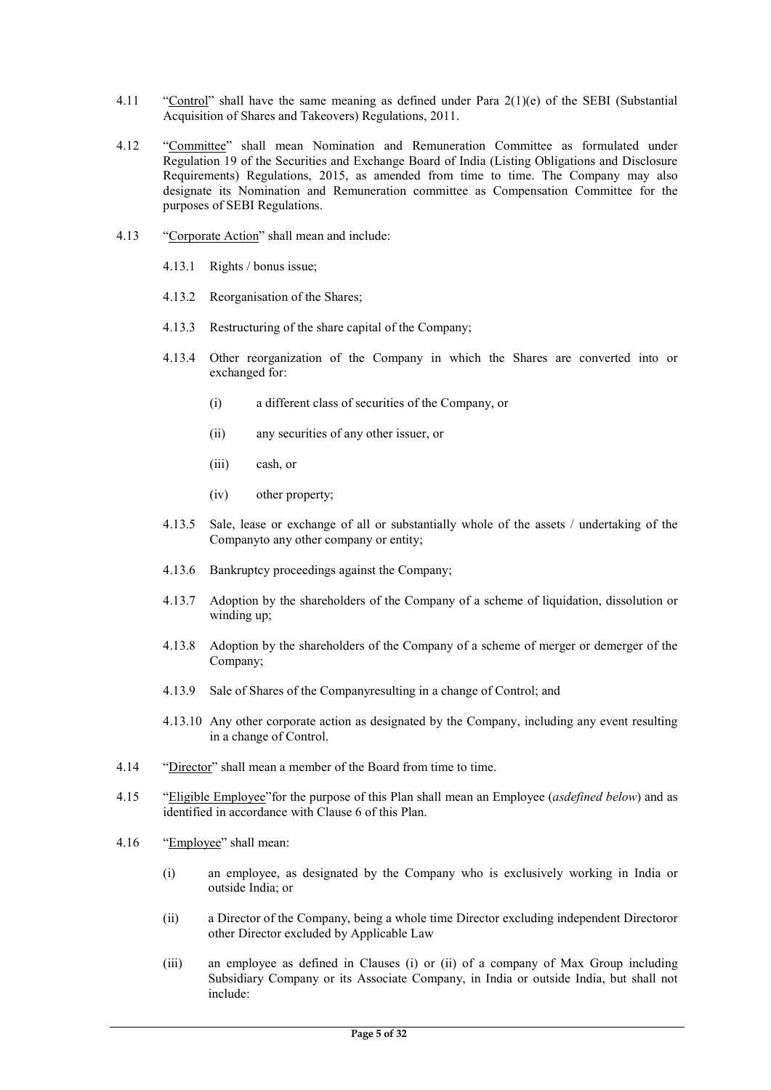- 4.11 "Control" shall have the same meaning as defined under Para 2(1)(e) of the SEBI (Substantial Acquisition of Shares and Takeovers) Regulations, 2011.
- 4.12 "Committee" shall mean Nomination and Remuneration Committee as formulated under Regulation 19 of the Securities and Exchange Board of India (Listing Obligations and Disclosure Requirements) Regulations, 2015, as amended from time to time. The Company may also designate its Nomination and Remuneration committee as Compensation Committee for the purposes of SEBI Regulations.
- 4.13 "Corporate Action" shall mean and include:
	- 4.13.1 Rights / bonus issue;
	- 4.13.2 Reorganisation of the Shares;
	- 4.13.3 Restructuring of the share capital of the Company;
	- 4.13.4 Other reorganization of the Company in which the Shares are converted into or exchanged for:
		- (i) a different class of securities of the Company, or
		- (ii) any securities of any other issuer, or
		- (iii) cash, or
		- (iv) other property;
	- 4.13.5 Sale, lease or exchange of all or substantially whole of the assets / undertaking of the Companyto any other company or entity;
	- 4.13.6 Bankruptcy proceedings against the Company;
	- 4.13.7 Adoption by the shareholders of the Company of a scheme of liquidation, dissolution or winding up;
	- 4.13.8 Adoption by the shareholders of the Company of a scheme of merger or demerger of the Company;
	- 4.13.9 Sale of Shares of the Companyresulting in a change of Control; and
	- 4.13.10 Any other corporate action as designated by the Company, including any event resulting in a change of Control.
- 4.14 "Director" shall mean a member of the Board from time to time.
- 4.15 "Eligible Employee" for the purpose of this Plan shall mean an Employee (asdefined below) and as identified in accordance with Clause 6 of this Plan.
- 4.16 "Employee" shall mean:
	- (i) an employee, as designated by the Company who is exclusively working in India or outside India; or
	- (ii) a Director of the Company, being a whole time Director excluding independent Directoror other Director excluded by Applicable Law
	- (iii) an employee as defined in Clauses (i) or (ii) of a company of Max Group including Subsidiary Company or its Associate Company, in India or outside India, but shall not include: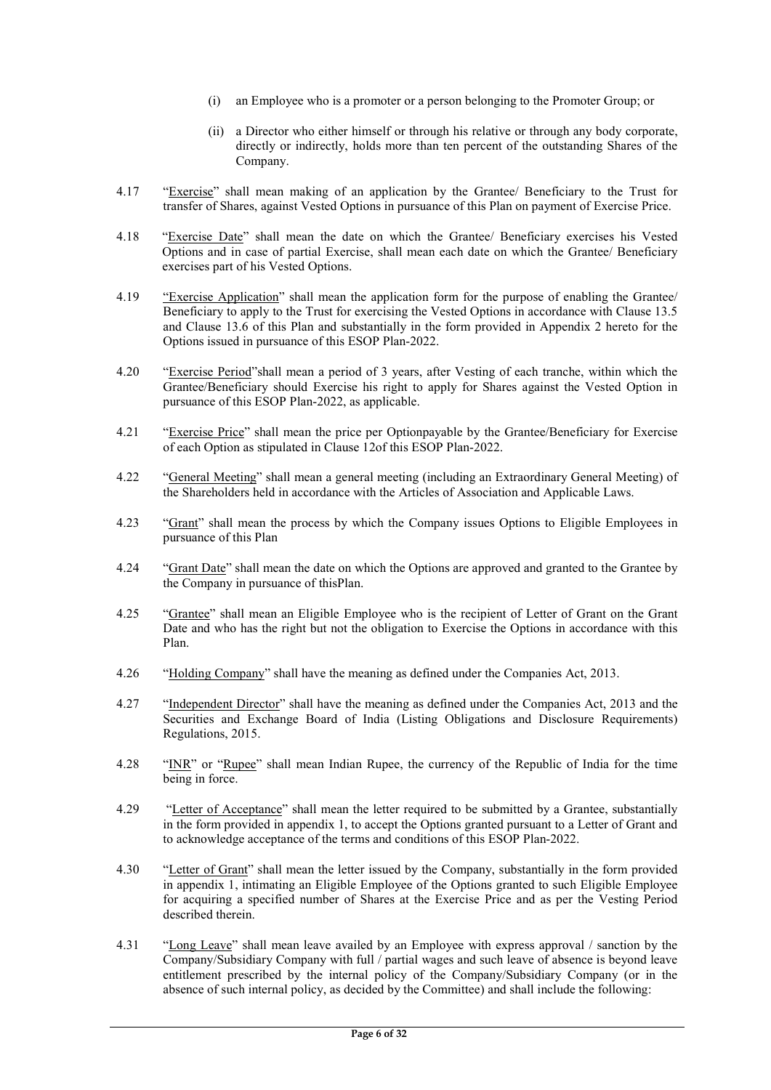- (i) an Employee who is a promoter or a person belonging to the Promoter Group; or
- (ii) a Director who either himself or through his relative or through any body corporate, directly or indirectly, holds more than ten percent of the outstanding Shares of the Company.
- 4.17 "Exercise" shall mean making of an application by the Grantee/ Beneficiary to the Trust for transfer of Shares, against Vested Options in pursuance of this Plan on payment of Exercise Price.
- 4.18 "Exercise Date" shall mean the date on which the Grantee/ Beneficiary exercises his Vested Options and in case of partial Exercise, shall mean each date on which the Grantee/ Beneficiary exercises part of his Vested Options.
- 4.19 "Exercise Application" shall mean the application form for the purpose of enabling the Grantee/ Beneficiary to apply to the Trust for exercising the Vested Options in accordance with Clause 13.5 and Clause 13.6 of this Plan and substantially in the form provided in Appendix 2 hereto for the Options issued in pursuance of this ESOP Plan-2022.
- 4.20 "Exercise Period" shall mean a period of 3 years, after Vesting of each tranche, within which the Grantee/Beneficiary should Exercise his right to apply for Shares against the Vested Option in pursuance of this ESOP Plan-2022, as applicable.
- 4.21 "Exercise Price" shall mean the price per Optionpayable by the Grantee/Beneficiary for Exercise of each Option as stipulated in Clause 12of this ESOP Plan-2022.
- 4.22 "General Meeting" shall mean a general meeting (including an Extraordinary General Meeting) of the Shareholders held in accordance with the Articles of Association and Applicable Laws.
- 4.23 "Grant" shall mean the process by which the Company issues Options to Eligible Employees in pursuance of this Plan
- 4.24 "Grant Date" shall mean the date on which the Options are approved and granted to the Grantee by the Company in pursuance of thisPlan.
- 4.25 "Grantee" shall mean an Eligible Employee who is the recipient of Letter of Grant on the Grant Date and who has the right but not the obligation to Exercise the Options in accordance with this Plan.
- 4.26 "Holding Company" shall have the meaning as defined under the Companies Act, 2013.
- 4.27 "Independent Director" shall have the meaning as defined under the Companies Act, 2013 and the Securities and Exchange Board of India (Listing Obligations and Disclosure Requirements) Regulations, 2015.
- 4.28 "INR" or "Rupee" shall mean Indian Rupee, the currency of the Republic of India for the time being in force.
- 4.29 "Letter of Acceptance" shall mean the letter required to be submitted by a Grantee, substantially in the form provided in appendix 1, to accept the Options granted pursuant to a Letter of Grant and to acknowledge acceptance of the terms and conditions of this ESOP Plan-2022.
- 4.30 "Letter of Grant" shall mean the letter issued by the Company, substantially in the form provided in appendix 1, intimating an Eligible Employee of the Options granted to such Eligible Employee for acquiring a specified number of Shares at the Exercise Price and as per the Vesting Period described therein.
- 4.31 "Long Leave" shall mean leave availed by an Employee with express approval / sanction by the Company/Subsidiary Company with full / partial wages and such leave of absence is beyond leave entitlement prescribed by the internal policy of the Company/Subsidiary Company (or in the absence of such internal policy, as decided by the Committee) and shall include the following: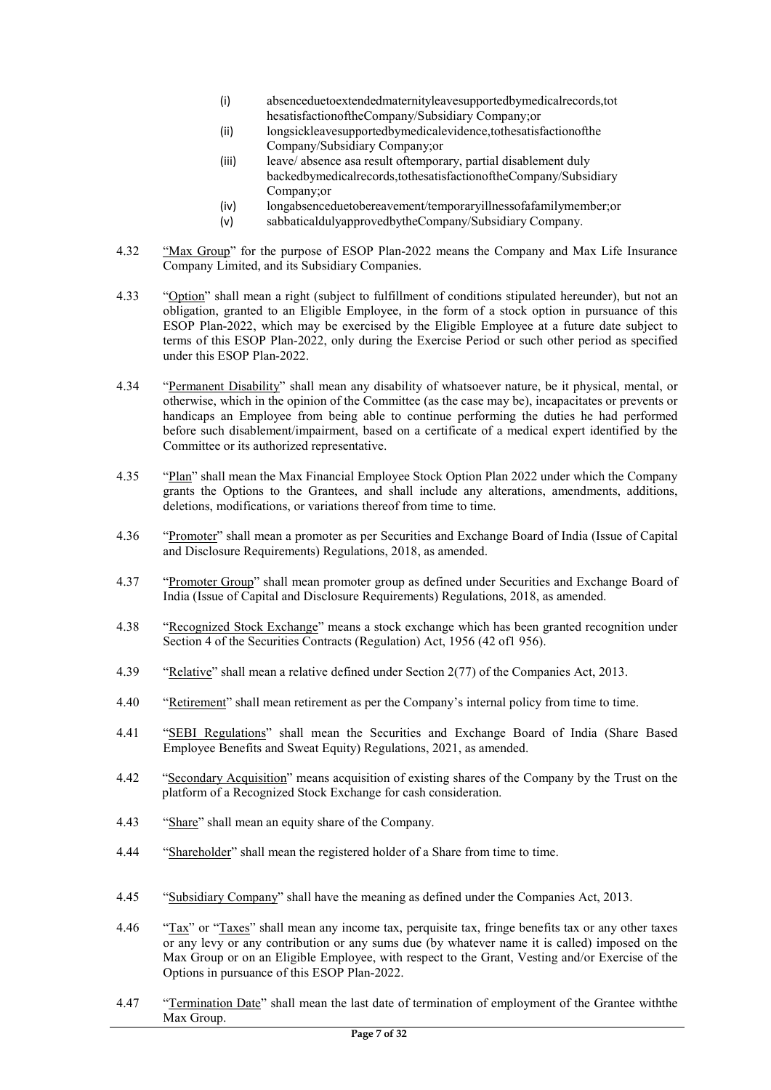- (i) absenceduetoextendedmaternityleavesupportedbymedicalrecords,tot hesatisfactionoftheCompany/Subsidiary Company;or
- (ii) longsickleavesupportedbymedicalevidence,tothesatisfactionofthe Company/Subsidiary Company;or
- (iii) leave/ absence asa result oftemporary, partial disablement duly backedbymedicalrecords,tothesatisfactionoftheCompany/Subsidiary Company;or
- (iv) longabsenceduetobereavement/temporaryillnessofafamilymember;or
- (v) sabbaticaldulyapprovedbytheCompany/Subsidiary Company.
- 4.32 "Max Group" for the purpose of ESOP Plan-2022 means the Company and Max Life Insurance Company Limited, and its Subsidiary Companies.
- 4.33 "Option" shall mean a right (subject to fulfillment of conditions stipulated hereunder), but not an obligation, granted to an Eligible Employee, in the form of a stock option in pursuance of this ESOP Plan-2022, which may be exercised by the Eligible Employee at a future date subject to terms of this ESOP Plan-2022, only during the Exercise Period or such other period as specified under this ESOP Plan-2022.
- 4.34 "Permanent Disability" shall mean any disability of whatsoever nature, be it physical, mental, or otherwise, which in the opinion of the Committee (as the case may be), incapacitates or prevents or handicaps an Employee from being able to continue performing the duties he had performed before such disablement/impairment, based on a certificate of a medical expert identified by the Committee or its authorized representative.
- 4.35 "Plan" shall mean the Max Financial Employee Stock Option Plan 2022 under which the Company grants the Options to the Grantees, and shall include any alterations, amendments, additions, deletions, modifications, or variations thereof from time to time.
- 4.36 "Promoter" shall mean a promoter as per Securities and Exchange Board of India (Issue of Capital and Disclosure Requirements) Regulations, 2018, as amended.
- 4.37 "Promoter Group" shall mean promoter group as defined under Securities and Exchange Board of India (Issue of Capital and Disclosure Requirements) Regulations, 2018, as amended.
- 4.38 "Recognized Stock Exchange" means a stock exchange which has been granted recognition under Section 4 of the Securities Contracts (Regulation) Act, 1956 (42 of1 956).
- 4.39 "Relative" shall mean a relative defined under Section 2(77) of the Companies Act, 2013.
- 4.40 "Retirement" shall mean retirement as per the Company's internal policy from time to time.
- 4.41 "SEBI Regulations" shall mean the Securities and Exchange Board of India (Share Based Employee Benefits and Sweat Equity) Regulations, 2021, as amended.
- 4.42 "Secondary Acquisition" means acquisition of existing shares of the Company by the Trust on the platform of a Recognized Stock Exchange for cash consideration.
- 4.43 "Share" shall mean an equity share of the Company.
- 4.44 "Shareholder" shall mean the registered holder of a Share from time to time.
- 4.45 "Subsidiary Company" shall have the meaning as defined under the Companies Act, 2013.
- 4.46 "Tax" or "Taxes" shall mean any income tax, perquisite tax, fringe benefits tax or any other taxes or any levy or any contribution or any sums due (by whatever name it is called) imposed on the Max Group or on an Eligible Employee, with respect to the Grant, Vesting and/or Exercise of the Options in pursuance of this ESOP Plan-2022.
- 4.47 "Termination Date" shall mean the last date of termination of employment of the Grantee withthe Max Group.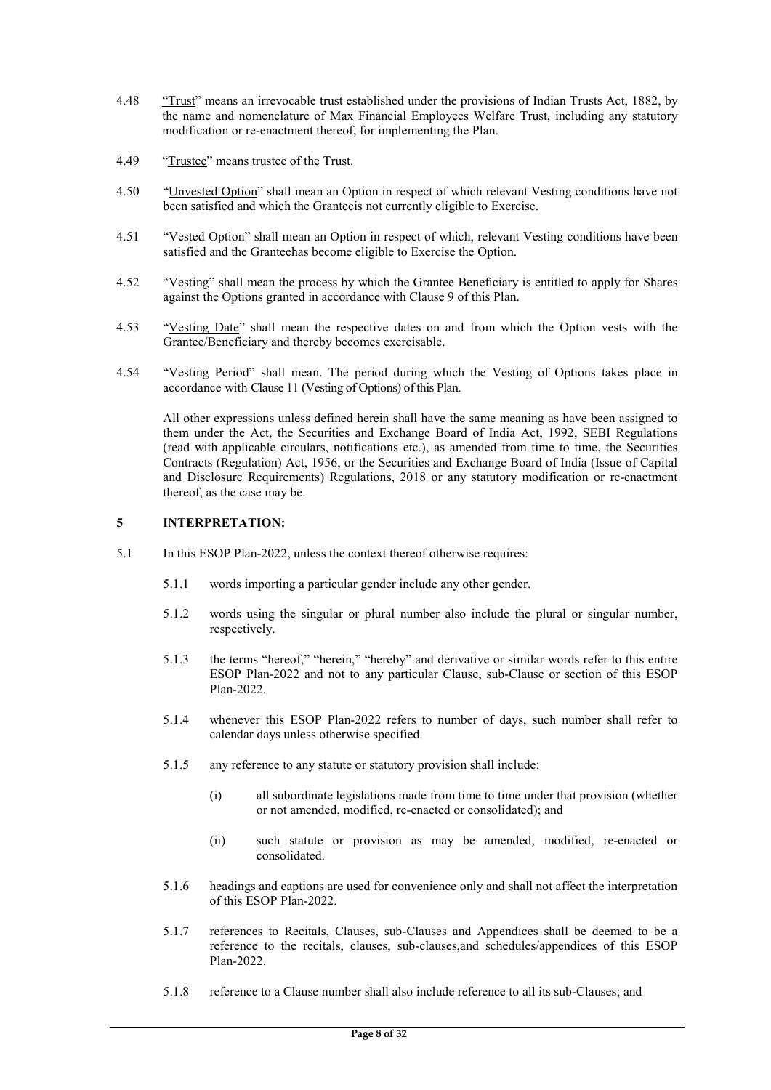- 4.48 "Trust" means an irrevocable trust established under the provisions of Indian Trusts Act, 1882, by the name and nomenclature of Max Financial Employees Welfare Trust, including any statutory modification or re-enactment thereof, for implementing the Plan.
- 4.49 "Trustee" means trustee of the Trust.
- 4.50 "Unvested Option" shall mean an Option in respect of which relevant Vesting conditions have not been satisfied and which the Granteeis not currently eligible to Exercise.
- 4.51 "Vested Option" shall mean an Option in respect of which, relevant Vesting conditions have been satisfied and the Granteehas become eligible to Exercise the Option.
- 4.52 "Vesting" shall mean the process by which the Grantee Beneficiary is entitled to apply for Shares against the Options granted in accordance with Clause 9 of this Plan.
- 4.53 "Vesting Date" shall mean the respective dates on and from which the Option vests with the Grantee/Beneficiary and thereby becomes exercisable.
- 4.54 "Vesting Period" shall mean. The period during which the Vesting of Options takes place in accordance with Clause 11 (Vesting of Options) of this Plan.

All other expressions unless defined herein shall have the same meaning as have been assigned to them under the Act, the Securities and Exchange Board of India Act, 1992, SEBI Regulations (read with applicable circulars, notifications etc.), as amended from time to time, the Securities Contracts (Regulation) Act, 1956, or the Securities and Exchange Board of India (Issue of Capital and Disclosure Requirements) Regulations, 2018 or any statutory modification or re-enactment thereof, as the case may be.

## 5 INTERPRETATION:

- 5.1 In this ESOP Plan-2022, unless the context thereof otherwise requires:
	- 5.1.1 words importing a particular gender include any other gender.
	- 5.1.2 words using the singular or plural number also include the plural or singular number, respectively.
	- 5.1.3 the terms "hereof," "herein," "hereby" and derivative or similar words refer to this entire ESOP Plan-2022 and not to any particular Clause, sub-Clause or section of this ESOP Plan-2022.
	- 5.1.4 whenever this ESOP Plan-2022 refers to number of days, such number shall refer to calendar days unless otherwise specified.
	- 5.1.5 any reference to any statute or statutory provision shall include:
		- (i) all subordinate legislations made from time to time under that provision (whether or not amended, modified, re-enacted or consolidated); and
		- (ii) such statute or provision as may be amended, modified, re-enacted or consolidated.
	- 5.1.6 headings and captions are used for convenience only and shall not affect the interpretation of this ESOP Plan-2022.
	- 5.1.7 references to Recitals, Clauses, sub-Clauses and Appendices shall be deemed to be a reference to the recitals, clauses, sub-clauses,and schedules/appendices of this ESOP Plan-2022.
	- 5.1.8 reference to a Clause number shall also include reference to all its sub-Clauses; and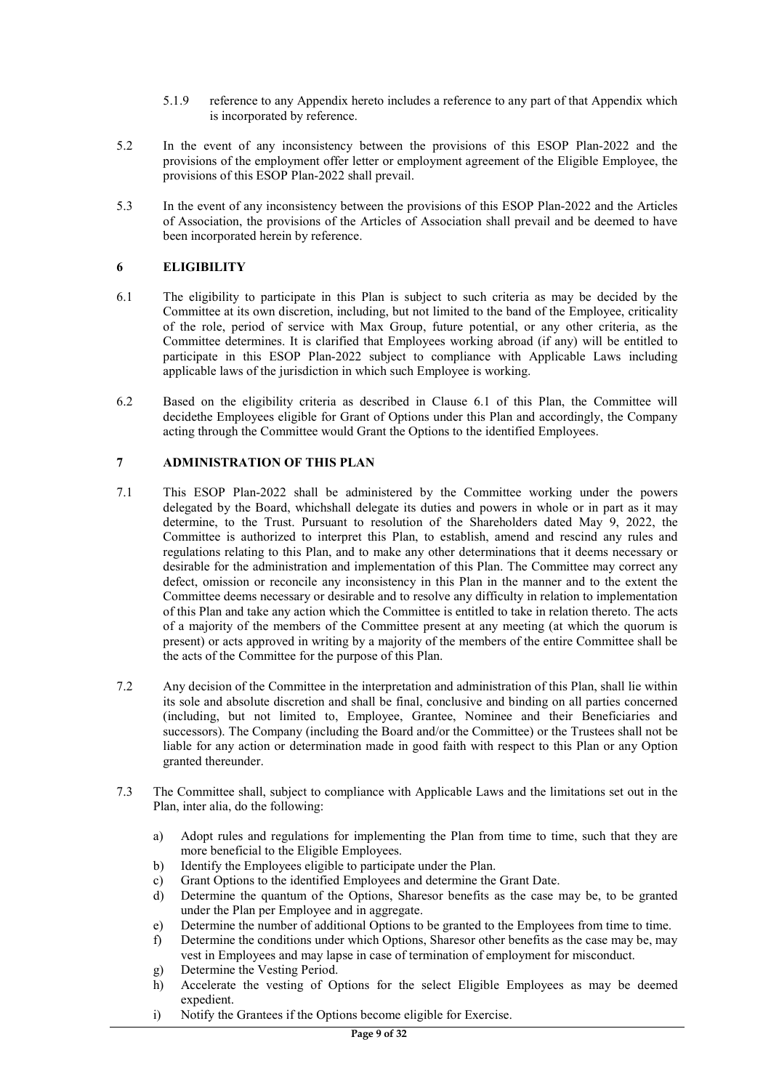- 5.1.9 reference to any Appendix hereto includes a reference to any part of that Appendix which is incorporated by reference.
- 5.2 In the event of any inconsistency between the provisions of this ESOP Plan-2022 and the provisions of the employment offer letter or employment agreement of the Eligible Employee, the provisions of this ESOP Plan-2022 shall prevail.
- 5.3 In the event of any inconsistency between the provisions of this ESOP Plan-2022 and the Articles of Association, the provisions of the Articles of Association shall prevail and be deemed to have been incorporated herein by reference.

## 6 ELIGIBILITY

- 6.1 The eligibility to participate in this Plan is subject to such criteria as may be decided by the Committee at its own discretion, including, but not limited to the band of the Employee, criticality of the role, period of service with Max Group, future potential, or any other criteria, as the Committee determines. It is clarified that Employees working abroad (if any) will be entitled to participate in this ESOP Plan-2022 subject to compliance with Applicable Laws including applicable laws of the jurisdiction in which such Employee is working.
- 6.2 Based on the eligibility criteria as described in Clause 6.1 of this Plan, the Committee will decidethe Employees eligible for Grant of Options under this Plan and accordingly, the Company acting through the Committee would Grant the Options to the identified Employees.

## 7 ADMINISTRATION OF THIS PLAN

- 7.1 This ESOP Plan-2022 shall be administered by the Committee working under the powers delegated by the Board, whichshall delegate its duties and powers in whole or in part as it may determine, to the Trust. Pursuant to resolution of the Shareholders dated May 9, 2022, the Committee is authorized to interpret this Plan, to establish, amend and rescind any rules and regulations relating to this Plan, and to make any other determinations that it deems necessary or desirable for the administration and implementation of this Plan. The Committee may correct any defect, omission or reconcile any inconsistency in this Plan in the manner and to the extent the Committee deems necessary or desirable and to resolve any difficulty in relation to implementation of this Plan and take any action which the Committee is entitled to take in relation thereto. The acts of a majority of the members of the Committee present at any meeting (at which the quorum is present) or acts approved in writing by a majority of the members of the entire Committee shall be the acts of the Committee for the purpose of this Plan.
- 7.2 Any decision of the Committee in the interpretation and administration of this Plan, shall lie within its sole and absolute discretion and shall be final, conclusive and binding on all parties concerned (including, but not limited to, Employee, Grantee, Nominee and their Beneficiaries and successors). The Company (including the Board and/or the Committee) or the Trustees shall not be liable for any action or determination made in good faith with respect to this Plan or any Option granted thereunder.
- 7.3 The Committee shall, subject to compliance with Applicable Laws and the limitations set out in the Plan, inter alia, do the following:
	- a) Adopt rules and regulations for implementing the Plan from time to time, such that they are more beneficial to the Eligible Employees.
	- b) Identify the Employees eligible to participate under the Plan.
	- c) Grant Options to the identified Employees and determine the Grant Date.
	- d) Determine the quantum of the Options, Sharesor benefits as the case may be, to be granted under the Plan per Employee and in aggregate.
	- e) Determine the number of additional Options to be granted to the Employees from time to time.
	- f) Determine the conditions under which Options, Sharesor other benefits as the case may be, may vest in Employees and may lapse in case of termination of employment for misconduct.
	- g) Determine the Vesting Period.
	- h) Accelerate the vesting of Options for the select Eligible Employees as may be deemed expedient.
	- i) Notify the Grantees if the Options become eligible for Exercise.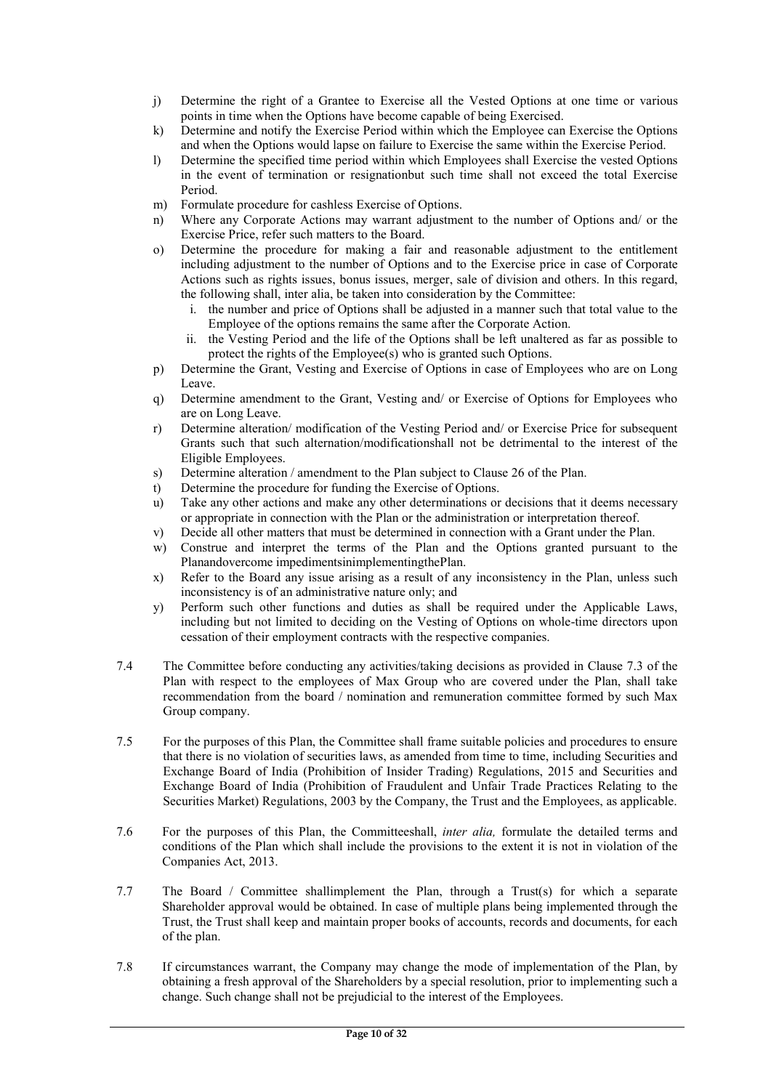- j) Determine the right of a Grantee to Exercise all the Vested Options at one time or various points in time when the Options have become capable of being Exercised.
- k) Determine and notify the Exercise Period within which the Employee can Exercise the Options and when the Options would lapse on failure to Exercise the same within the Exercise Period.
- l) Determine the specified time period within which Employees shall Exercise the vested Options in the event of termination or resignationbut such time shall not exceed the total Exercise Period.
- m) Formulate procedure for cashless Exercise of Options.
- n) Where any Corporate Actions may warrant adjustment to the number of Options and/ or the Exercise Price, refer such matters to the Board.
- o) Determine the procedure for making a fair and reasonable adjustment to the entitlement including adjustment to the number of Options and to the Exercise price in case of Corporate Actions such as rights issues, bonus issues, merger, sale of division and others. In this regard, the following shall, inter alia, be taken into consideration by the Committee:
	- i. the number and price of Options shall be adjusted in a manner such that total value to the Employee of the options remains the same after the Corporate Action.
	- ii. the Vesting Period and the life of the Options shall be left unaltered as far as possible to protect the rights of the Employee(s) who is granted such Options.
- p) Determine the Grant, Vesting and Exercise of Options in case of Employees who are on Long Leave.
- q) Determine amendment to the Grant, Vesting and/ or Exercise of Options for Employees who are on Long Leave.
- r) Determine alteration/ modification of the Vesting Period and/ or Exercise Price for subsequent Grants such that such alternation/modificationshall not be detrimental to the interest of the Eligible Employees.
- s) Determine alteration / amendment to the Plan subject to Clause 26 of the Plan.
- t) Determine the procedure for funding the Exercise of Options.
- u) Take any other actions and make any other determinations or decisions that it deems necessary or appropriate in connection with the Plan or the administration or interpretation thereof.
- v) Decide all other matters that must be determined in connection with a Grant under the Plan.
- w) Construe and interpret the terms of the Plan and the Options granted pursuant to the Planandovercome impedimentsinimplementingthePlan.
- x) Refer to the Board any issue arising as a result of any inconsistency in the Plan, unless such inconsistency is of an administrative nature only; and
- y) Perform such other functions and duties as shall be required under the Applicable Laws, including but not limited to deciding on the Vesting of Options on whole-time directors upon cessation of their employment contracts with the respective companies.
- 7.4 The Committee before conducting any activities/taking decisions as provided in Clause 7.3 of the Plan with respect to the employees of Max Group who are covered under the Plan, shall take recommendation from the board / nomination and remuneration committee formed by such Max Group company.
- 7.5 For the purposes of this Plan, the Committee shall frame suitable policies and procedures to ensure that there is no violation of securities laws, as amended from time to time, including Securities and Exchange Board of India (Prohibition of Insider Trading) Regulations, 2015 and Securities and Exchange Board of India (Prohibition of Fraudulent and Unfair Trade Practices Relating to the Securities Market) Regulations, 2003 by the Company, the Trust and the Employees, as applicable.
- 7.6 For the purposes of this Plan, the Committeeshall, inter alia, formulate the detailed terms and conditions of the Plan which shall include the provisions to the extent it is not in violation of the Companies Act, 2013.
- 7.7 The Board / Committee shallimplement the Plan, through a Trust(s) for which a separate Shareholder approval would be obtained. In case of multiple plans being implemented through the Trust, the Trust shall keep and maintain proper books of accounts, records and documents, for each of the plan.
- 7.8 If circumstances warrant, the Company may change the mode of implementation of the Plan, by obtaining a fresh approval of the Shareholders by a special resolution, prior to implementing such a change. Such change shall not be prejudicial to the interest of the Employees.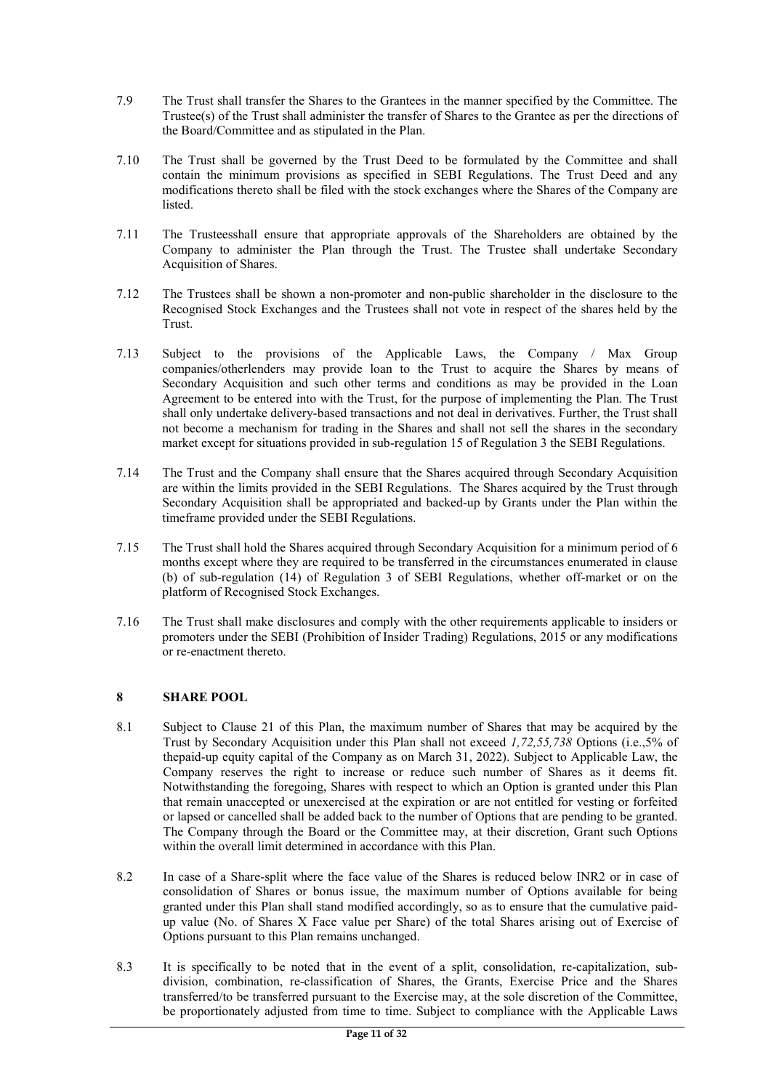- 7.9 The Trust shall transfer the Shares to the Grantees in the manner specified by the Committee. The Trustee(s) of the Trust shall administer the transfer of Shares to the Grantee as per the directions of the Board/Committee and as stipulated in the Plan.
- 7.10 The Trust shall be governed by the Trust Deed to be formulated by the Committee and shall contain the minimum provisions as specified in SEBI Regulations. The Trust Deed and any modifications thereto shall be filed with the stock exchanges where the Shares of the Company are listed.
- 7.11 The Trusteesshall ensure that appropriate approvals of the Shareholders are obtained by the Company to administer the Plan through the Trust. The Trustee shall undertake Secondary Acquisition of Shares.
- 7.12 The Trustees shall be shown a non-promoter and non-public shareholder in the disclosure to the Recognised Stock Exchanges and the Trustees shall not vote in respect of the shares held by the Trust.
- 7.13 Subject to the provisions of the Applicable Laws, the Company / Max Group companies/otherlenders may provide loan to the Trust to acquire the Shares by means of Secondary Acquisition and such other terms and conditions as may be provided in the Loan Agreement to be entered into with the Trust, for the purpose of implementing the Plan. The Trust shall only undertake delivery-based transactions and not deal in derivatives. Further, the Trust shall not become a mechanism for trading in the Shares and shall not sell the shares in the secondary market except for situations provided in sub-regulation 15 of Regulation 3 the SEBI Regulations.
- 7.14 The Trust and the Company shall ensure that the Shares acquired through Secondary Acquisition are within the limits provided in the SEBI Regulations. The Shares acquired by the Trust through Secondary Acquisition shall be appropriated and backed-up by Grants under the Plan within the timeframe provided under the SEBI Regulations.
- 7.15 The Trust shall hold the Shares acquired through Secondary Acquisition for a minimum period of 6 months except where they are required to be transferred in the circumstances enumerated in clause (b) of sub-regulation (14) of Regulation 3 of SEBI Regulations, whether off-market or on the platform of Recognised Stock Exchanges.
- 7.16 The Trust shall make disclosures and comply with the other requirements applicable to insiders or promoters under the SEBI (Prohibition of Insider Trading) Regulations, 2015 or any modifications or re-enactment thereto.

## 8 SHARE POOL

- 8.1 Subject to Clause 21 of this Plan, the maximum number of Shares that may be acquired by the Trust by Secondary Acquisition under this Plan shall not exceed 1,72,55,738 Options (i.e.,5% of thepaid-up equity capital of the Company as on March 31, 2022). Subject to Applicable Law, the Company reserves the right to increase or reduce such number of Shares as it deems fit. Notwithstanding the foregoing, Shares with respect to which an Option is granted under this Plan that remain unaccepted or unexercised at the expiration or are not entitled for vesting or forfeited or lapsed or cancelled shall be added back to the number of Options that are pending to be granted. The Company through the Board or the Committee may, at their discretion, Grant such Options within the overall limit determined in accordance with this Plan.
- 8.2 In case of a Share-split where the face value of the Shares is reduced below INR2 or in case of consolidation of Shares or bonus issue, the maximum number of Options available for being granted under this Plan shall stand modified accordingly, so as to ensure that the cumulative paidup value (No. of Shares X Face value per Share) of the total Shares arising out of Exercise of Options pursuant to this Plan remains unchanged.
- 8.3 It is specifically to be noted that in the event of a split, consolidation, re-capitalization, subdivision, combination, re-classification of Shares, the Grants, Exercise Price and the Shares transferred/to be transferred pursuant to the Exercise may, at the sole discretion of the Committee, be proportionately adjusted from time to time. Subject to compliance with the Applicable Laws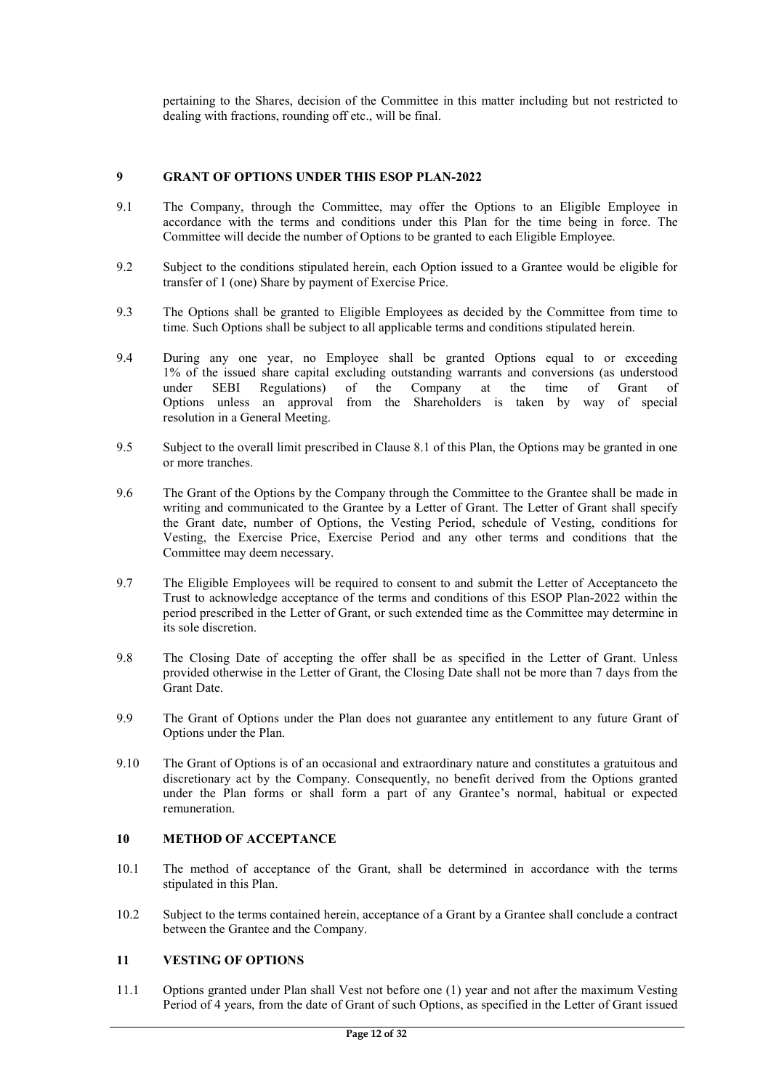pertaining to the Shares, decision of the Committee in this matter including but not restricted to dealing with fractions, rounding off etc., will be final.

## 9 GRANT OF OPTIONS UNDER THIS ESOP PLAN-2022

- 9.1 The Company, through the Committee, may offer the Options to an Eligible Employee in accordance with the terms and conditions under this Plan for the time being in force. The Committee will decide the number of Options to be granted to each Eligible Employee.
- 9.2 Subject to the conditions stipulated herein, each Option issued to a Grantee would be eligible for transfer of 1 (one) Share by payment of Exercise Price.
- 9.3 The Options shall be granted to Eligible Employees as decided by the Committee from time to time. Such Options shall be subject to all applicable terms and conditions stipulated herein.
- 9.4 During any one year, no Employee shall be granted Options equal to or exceeding 1% of the issued share capital excluding outstanding warrants and conversions (as understood under SEBI Regulations) of the Company at the time of Grant of Options unless an approval from the Shareholders is taken by way of special resolution in a General Meeting.
- 9.5 Subject to the overall limit prescribed in Clause 8.1 of this Plan, the Options may be granted in one or more tranches.
- 9.6 The Grant of the Options by the Company through the Committee to the Grantee shall be made in writing and communicated to the Grantee by a Letter of Grant. The Letter of Grant shall specify the Grant date, number of Options, the Vesting Period, schedule of Vesting, conditions for Vesting, the Exercise Price, Exercise Period and any other terms and conditions that the Committee may deem necessary.
- 9.7 The Eligible Employees will be required to consent to and submit the Letter of Acceptanceto the Trust to acknowledge acceptance of the terms and conditions of this ESOP Plan-2022 within the period prescribed in the Letter of Grant, or such extended time as the Committee may determine in its sole discretion.
- 9.8 The Closing Date of accepting the offer shall be as specified in the Letter of Grant. Unless provided otherwise in the Letter of Grant, the Closing Date shall not be more than 7 days from the Grant Date.
- 9.9 The Grant of Options under the Plan does not guarantee any entitlement to any future Grant of Options under the Plan.
- 9.10 The Grant of Options is of an occasional and extraordinary nature and constitutes a gratuitous and discretionary act by the Company. Consequently, no benefit derived from the Options granted under the Plan forms or shall form a part of any Grantee's normal, habitual or expected remuneration.

#### 10 METHOD OF ACCEPTANCE

- 10.1 The method of acceptance of the Grant, shall be determined in accordance with the terms stipulated in this Plan.
- 10.2 Subject to the terms contained herein, acceptance of a Grant by a Grantee shall conclude a contract between the Grantee and the Company.

## 11 VESTING OF OPTIONS

11.1 Options granted under Plan shall Vest not before one (1) year and not after the maximum Vesting Period of 4 years, from the date of Grant of such Options, as specified in the Letter of Grant issued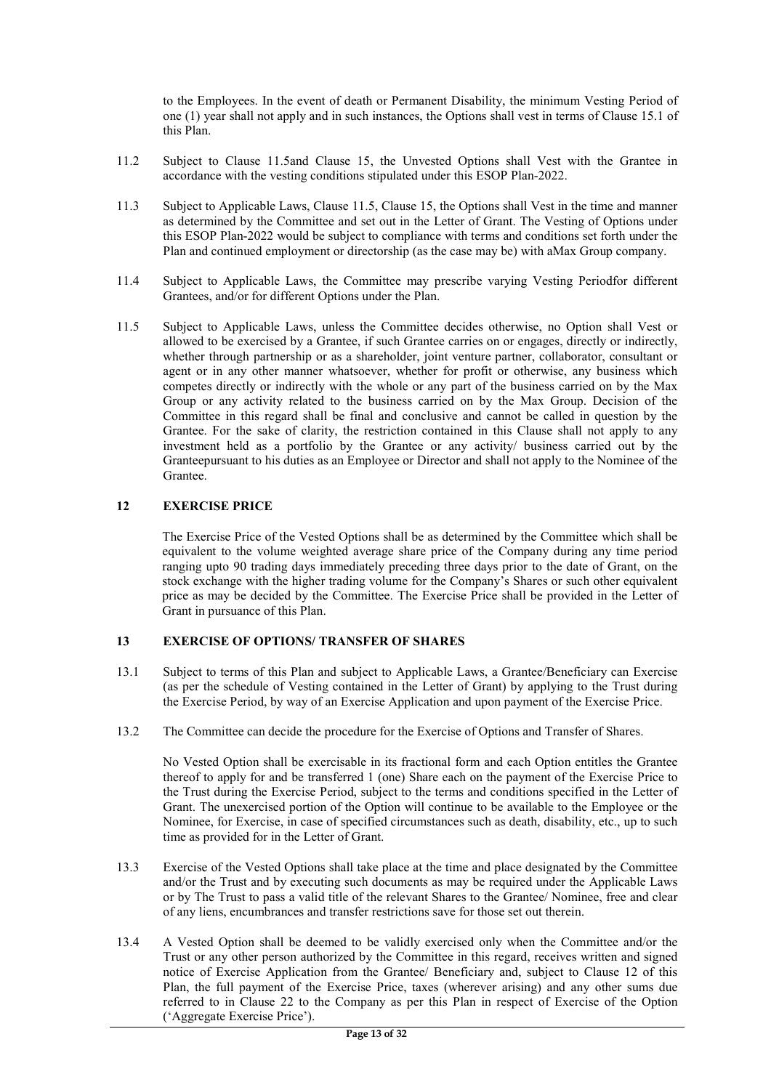to the Employees. In the event of death or Permanent Disability, the minimum Vesting Period of one (1) year shall not apply and in such instances, the Options shall vest in terms of Clause 15.1 of this Plan.

- 11.2 Subject to Clause 11.5and Clause 15, the Unvested Options shall Vest with the Grantee in accordance with the vesting conditions stipulated under this ESOP Plan-2022.
- 11.3 Subject to Applicable Laws, Clause 11.5, Clause 15, the Options shall Vest in the time and manner as determined by the Committee and set out in the Letter of Grant. The Vesting of Options under this ESOP Plan-2022 would be subject to compliance with terms and conditions set forth under the Plan and continued employment or directorship (as the case may be) with aMax Group company.
- 11.4 Subject to Applicable Laws, the Committee may prescribe varying Vesting Periodfor different Grantees, and/or for different Options under the Plan.
- 11.5 Subject to Applicable Laws, unless the Committee decides otherwise, no Option shall Vest or allowed to be exercised by a Grantee, if such Grantee carries on or engages, directly or indirectly, whether through partnership or as a shareholder, joint venture partner, collaborator, consultant or agent or in any other manner whatsoever, whether for profit or otherwise, any business which competes directly or indirectly with the whole or any part of the business carried on by the Max Group or any activity related to the business carried on by the Max Group. Decision of the Committee in this regard shall be final and conclusive and cannot be called in question by the Grantee. For the sake of clarity, the restriction contained in this Clause shall not apply to any investment held as a portfolio by the Grantee or any activity/ business carried out by the Granteepursuant to his duties as an Employee or Director and shall not apply to the Nominee of the Grantee.

## 12 EXERCISE PRICE

The Exercise Price of the Vested Options shall be as determined by the Committee which shall be equivalent to the volume weighted average share price of the Company during any time period ranging upto 90 trading days immediately preceding three days prior to the date of Grant, on the stock exchange with the higher trading volume for the Company's Shares or such other equivalent price as may be decided by the Committee. The Exercise Price shall be provided in the Letter of Grant in pursuance of this Plan.

#### 13 EXERCISE OF OPTIONS/ TRANSFER OF SHARES

- 13.1 Subject to terms of this Plan and subject to Applicable Laws, a Grantee/Beneficiary can Exercise (as per the schedule of Vesting contained in the Letter of Grant) by applying to the Trust during the Exercise Period, by way of an Exercise Application and upon payment of the Exercise Price.
- 13.2 The Committee can decide the procedure for the Exercise of Options and Transfer of Shares.

No Vested Option shall be exercisable in its fractional form and each Option entitles the Grantee thereof to apply for and be transferred 1 (one) Share each on the payment of the Exercise Price to the Trust during the Exercise Period, subject to the terms and conditions specified in the Letter of Grant. The unexercised portion of the Option will continue to be available to the Employee or the Nominee, for Exercise, in case of specified circumstances such as death, disability, etc., up to such time as provided for in the Letter of Grant.

- 13.3 Exercise of the Vested Options shall take place at the time and place designated by the Committee and/or the Trust and by executing such documents as may be required under the Applicable Laws or by The Trust to pass a valid title of the relevant Shares to the Grantee/ Nominee, free and clear of any liens, encumbrances and transfer restrictions save for those set out therein.
- 13.4 A Vested Option shall be deemed to be validly exercised only when the Committee and/or the Trust or any other person authorized by the Committee in this regard, receives written and signed notice of Exercise Application from the Grantee/ Beneficiary and, subject to Clause 12 of this Plan, the full payment of the Exercise Price, taxes (wherever arising) and any other sums due referred to in Clause 22 to the Company as per this Plan in respect of Exercise of the Option ('Aggregate Exercise Price').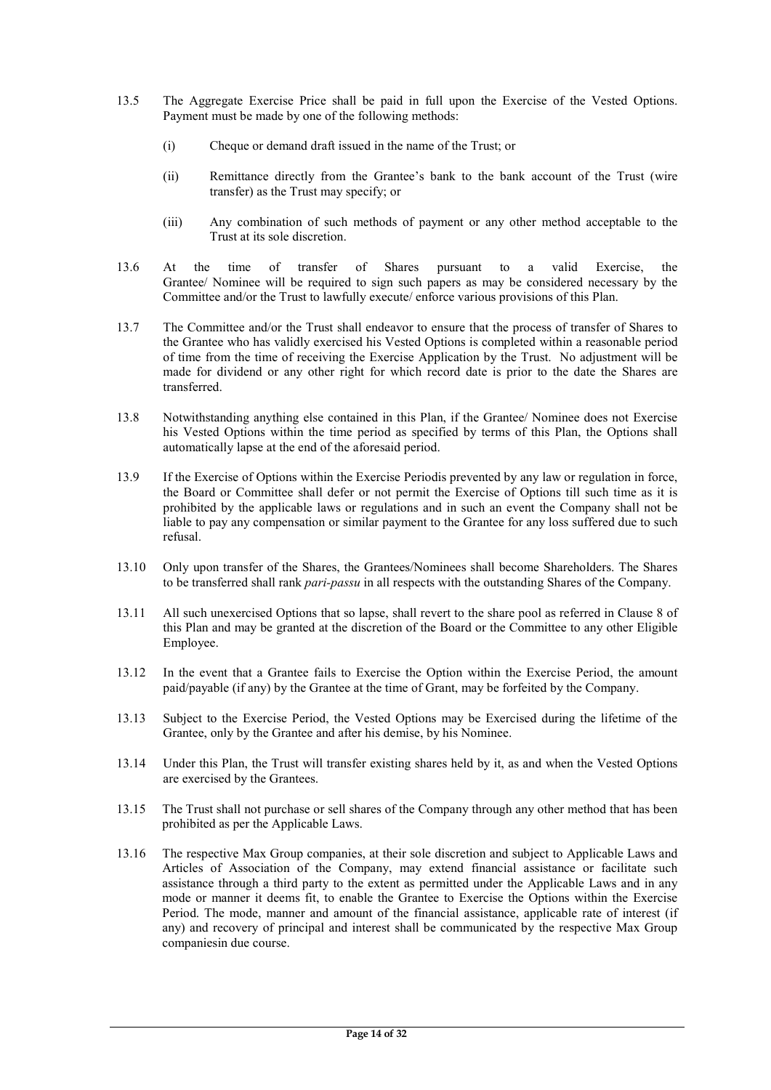- 13.5 The Aggregate Exercise Price shall be paid in full upon the Exercise of the Vested Options. Payment must be made by one of the following methods:
	- (i) Cheque or demand draft issued in the name of the Trust; or
	- (ii) Remittance directly from the Grantee's bank to the bank account of the Trust (wire transfer) as the Trust may specify; or
	- (iii) Any combination of such methods of payment or any other method acceptable to the Trust at its sole discretion.
- 13.6 At the time of transfer of Shares pursuant to a valid Exercise, the Grantee/ Nominee will be required to sign such papers as may be considered necessary by the Committee and/or the Trust to lawfully execute/ enforce various provisions of this Plan.
- 13.7 The Committee and/or the Trust shall endeavor to ensure that the process of transfer of Shares to the Grantee who has validly exercised his Vested Options is completed within a reasonable period of time from the time of receiving the Exercise Application by the Trust. No adjustment will be made for dividend or any other right for which record date is prior to the date the Shares are transferred.
- 13.8 Notwithstanding anything else contained in this Plan, if the Grantee/ Nominee does not Exercise his Vested Options within the time period as specified by terms of this Plan, the Options shall automatically lapse at the end of the aforesaid period.
- 13.9 If the Exercise of Options within the Exercise Periodis prevented by any law or regulation in force, the Board or Committee shall defer or not permit the Exercise of Options till such time as it is prohibited by the applicable laws or regulations and in such an event the Company shall not be liable to pay any compensation or similar payment to the Grantee for any loss suffered due to such refusal.
- 13.10 Only upon transfer of the Shares, the Grantees/Nominees shall become Shareholders. The Shares to be transferred shall rank pari-passu in all respects with the outstanding Shares of the Company.
- 13.11 All such unexercised Options that so lapse, shall revert to the share pool as referred in Clause 8 of this Plan and may be granted at the discretion of the Board or the Committee to any other Eligible Employee.
- 13.12 In the event that a Grantee fails to Exercise the Option within the Exercise Period, the amount paid/payable (if any) by the Grantee at the time of Grant, may be forfeited by the Company.
- 13.13 Subject to the Exercise Period, the Vested Options may be Exercised during the lifetime of the Grantee, only by the Grantee and after his demise, by his Nominee.
- 13.14 Under this Plan, the Trust will transfer existing shares held by it, as and when the Vested Options are exercised by the Grantees.
- 13.15 The Trust shall not purchase or sell shares of the Company through any other method that has been prohibited as per the Applicable Laws.
- 13.16 The respective Max Group companies, at their sole discretion and subject to Applicable Laws and Articles of Association of the Company, may extend financial assistance or facilitate such assistance through a third party to the extent as permitted under the Applicable Laws and in any mode or manner it deems fit, to enable the Grantee to Exercise the Options within the Exercise Period. The mode, manner and amount of the financial assistance, applicable rate of interest (if any) and recovery of principal and interest shall be communicated by the respective Max Group companiesin due course.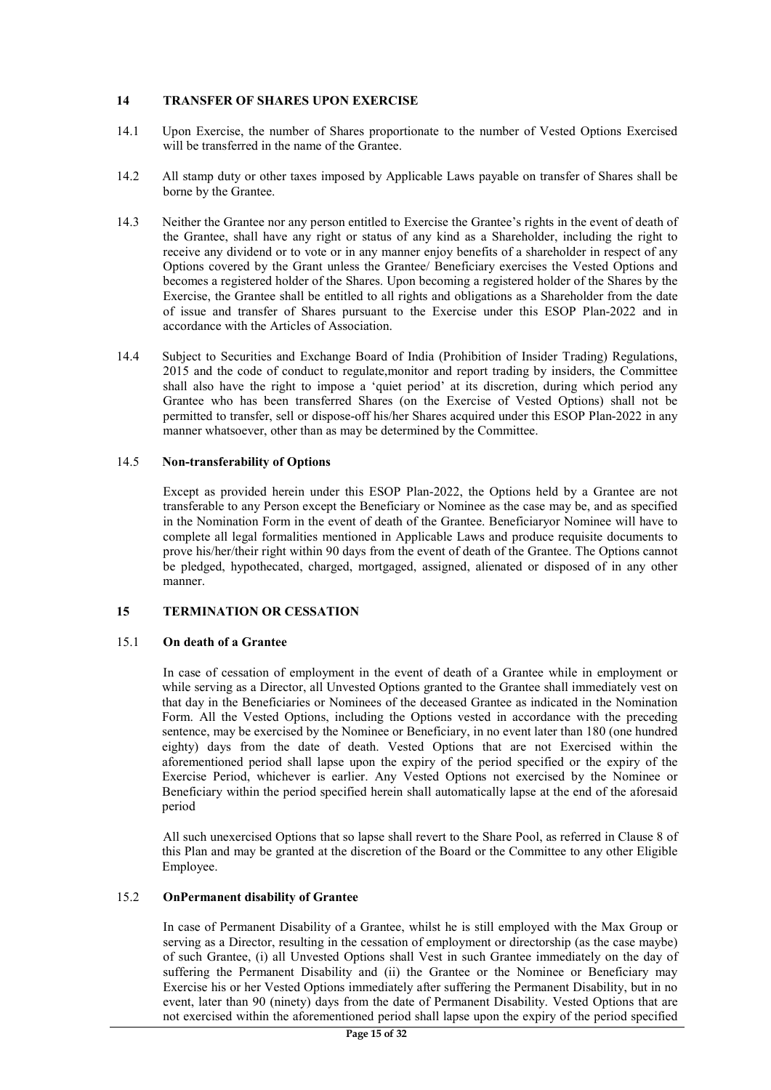## 14 TRANSFER OF SHARES UPON EXERCISE

- 14.1 Upon Exercise, the number of Shares proportionate to the number of Vested Options Exercised will be transferred in the name of the Grantee.
- 14.2 All stamp duty or other taxes imposed by Applicable Laws payable on transfer of Shares shall be borne by the Grantee.
- 14.3 Neither the Grantee nor any person entitled to Exercise the Grantee's rights in the event of death of the Grantee, shall have any right or status of any kind as a Shareholder, including the right to receive any dividend or to vote or in any manner enjoy benefits of a shareholder in respect of any Options covered by the Grant unless the Grantee/ Beneficiary exercises the Vested Options and becomes a registered holder of the Shares. Upon becoming a registered holder of the Shares by the Exercise, the Grantee shall be entitled to all rights and obligations as a Shareholder from the date of issue and transfer of Shares pursuant to the Exercise under this ESOP Plan-2022 and in accordance with the Articles of Association.
- 14.4 Subject to Securities and Exchange Board of India (Prohibition of Insider Trading) Regulations, 2015 and the code of conduct to regulate,monitor and report trading by insiders, the Committee shall also have the right to impose a 'quiet period' at its discretion, during which period any Grantee who has been transferred Shares (on the Exercise of Vested Options) shall not be permitted to transfer, sell or dispose-off his/her Shares acquired under this ESOP Plan-2022 in any manner whatsoever, other than as may be determined by the Committee.

## 14.5 Non-transferability of Options

Except as provided herein under this ESOP Plan-2022, the Options held by a Grantee are not transferable to any Person except the Beneficiary or Nominee as the case may be, and as specified in the Nomination Form in the event of death of the Grantee. Beneficiaryor Nominee will have to complete all legal formalities mentioned in Applicable Laws and produce requisite documents to prove his/her/their right within 90 days from the event of death of the Grantee. The Options cannot be pledged, hypothecated, charged, mortgaged, assigned, alienated or disposed of in any other manner.

#### 15 TERMINATION OR CESSATION

#### 15.1 On death of a Grantee

In case of cessation of employment in the event of death of a Grantee while in employment or while serving as a Director, all Unvested Options granted to the Grantee shall immediately vest on that day in the Beneficiaries or Nominees of the deceased Grantee as indicated in the Nomination Form. All the Vested Options, including the Options vested in accordance with the preceding sentence, may be exercised by the Nominee or Beneficiary, in no event later than 180 (one hundred eighty) days from the date of death. Vested Options that are not Exercised within the aforementioned period shall lapse upon the expiry of the period specified or the expiry of the Exercise Period, whichever is earlier. Any Vested Options not exercised by the Nominee or Beneficiary within the period specified herein shall automatically lapse at the end of the aforesaid period

All such unexercised Options that so lapse shall revert to the Share Pool, as referred in Clause 8 of this Plan and may be granted at the discretion of the Board or the Committee to any other Eligible Employee.

#### 15.2 OnPermanent disability of Grantee

In case of Permanent Disability of a Grantee, whilst he is still employed with the Max Group or serving as a Director, resulting in the cessation of employment or directorship (as the case maybe) of such Grantee, (i) all Unvested Options shall Vest in such Grantee immediately on the day of suffering the Permanent Disability and (ii) the Grantee or the Nominee or Beneficiary may Exercise his or her Vested Options immediately after suffering the Permanent Disability, but in no event, later than 90 (ninety) days from the date of Permanent Disability. Vested Options that are not exercised within the aforementioned period shall lapse upon the expiry of the period specified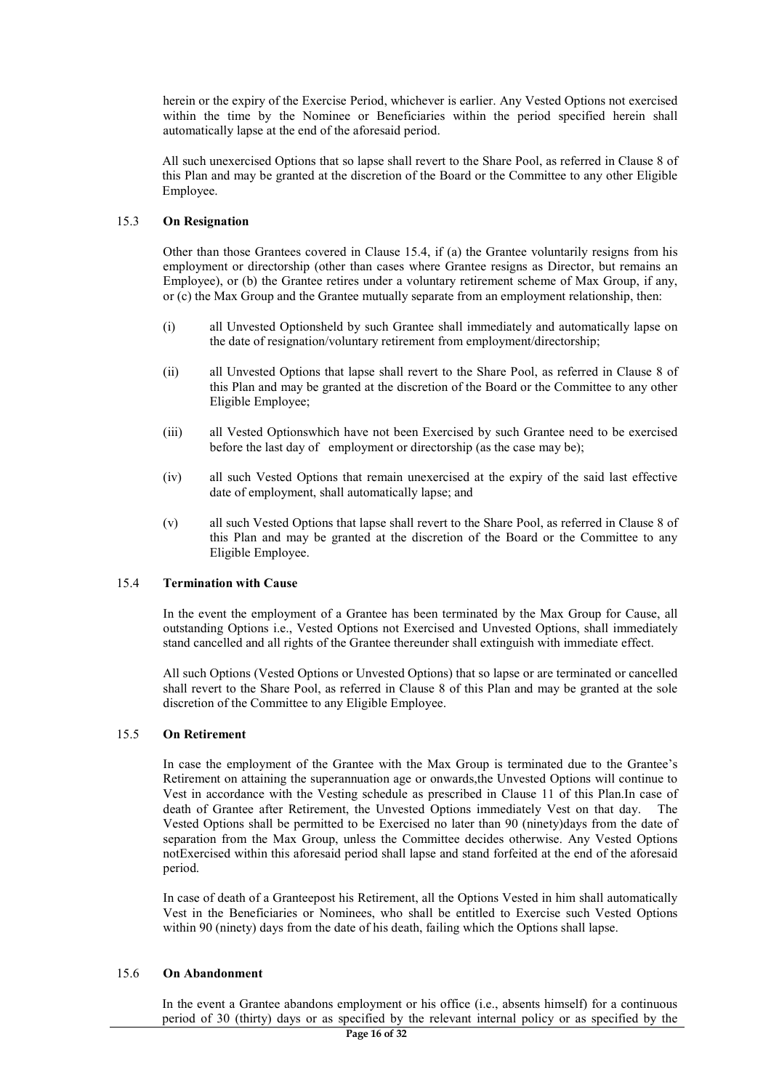herein or the expiry of the Exercise Period, whichever is earlier. Any Vested Options not exercised within the time by the Nominee or Beneficiaries within the period specified herein shall automatically lapse at the end of the aforesaid period.

All such unexercised Options that so lapse shall revert to the Share Pool, as referred in Clause 8 of this Plan and may be granted at the discretion of the Board or the Committee to any other Eligible Employee.

## 15.3 On Resignation

Other than those Grantees covered in Clause 15.4, if (a) the Grantee voluntarily resigns from his employment or directorship (other than cases where Grantee resigns as Director, but remains an Employee), or (b) the Grantee retires under a voluntary retirement scheme of Max Group, if any, or (c) the Max Group and the Grantee mutually separate from an employment relationship, then:

- (i) all Unvested Optionsheld by such Grantee shall immediately and automatically lapse on the date of resignation/voluntary retirement from employment/directorship;
- (ii) all Unvested Options that lapse shall revert to the Share Pool, as referred in Clause 8 of this Plan and may be granted at the discretion of the Board or the Committee to any other Eligible Employee;
- (iii) all Vested Optionswhich have not been Exercised by such Grantee need to be exercised before the last day of employment or directorship (as the case may be);
- (iv) all such Vested Options that remain unexercised at the expiry of the said last effective date of employment, shall automatically lapse; and
- (v) all such Vested Options that lapse shall revert to the Share Pool, as referred in Clause 8 of this Plan and may be granted at the discretion of the Board or the Committee to any Eligible Employee.

### 15.4 Termination with Cause

In the event the employment of a Grantee has been terminated by the Max Group for Cause, all outstanding Options i.e., Vested Options not Exercised and Unvested Options, shall immediately stand cancelled and all rights of the Grantee thereunder shall extinguish with immediate effect.

All such Options (Vested Options or Unvested Options) that so lapse or are terminated or cancelled shall revert to the Share Pool, as referred in Clause 8 of this Plan and may be granted at the sole discretion of the Committee to any Eligible Employee.

#### 15.5 On Retirement

In case the employment of the Grantee with the Max Group is terminated due to the Grantee's Retirement on attaining the superannuation age or onwards,the Unvested Options will continue to Vest in accordance with the Vesting schedule as prescribed in Clause 11 of this Plan.In case of death of Grantee after Retirement, the Unvested Options immediately Vest on that day. The Vested Options shall be permitted to be Exercised no later than 90 (ninety)days from the date of separation from the Max Group, unless the Committee decides otherwise. Any Vested Options notExercised within this aforesaid period shall lapse and stand forfeited at the end of the aforesaid period.

In case of death of a Granteepost his Retirement, all the Options Vested in him shall automatically Vest in the Beneficiaries or Nominees, who shall be entitled to Exercise such Vested Options within 90 (ninety) days from the date of his death, failing which the Options shall lapse.

#### 15.6 On Abandonment

In the event a Grantee abandons employment or his office (i.e., absents himself) for a continuous period of 30 (thirty) days or as specified by the relevant internal policy or as specified by the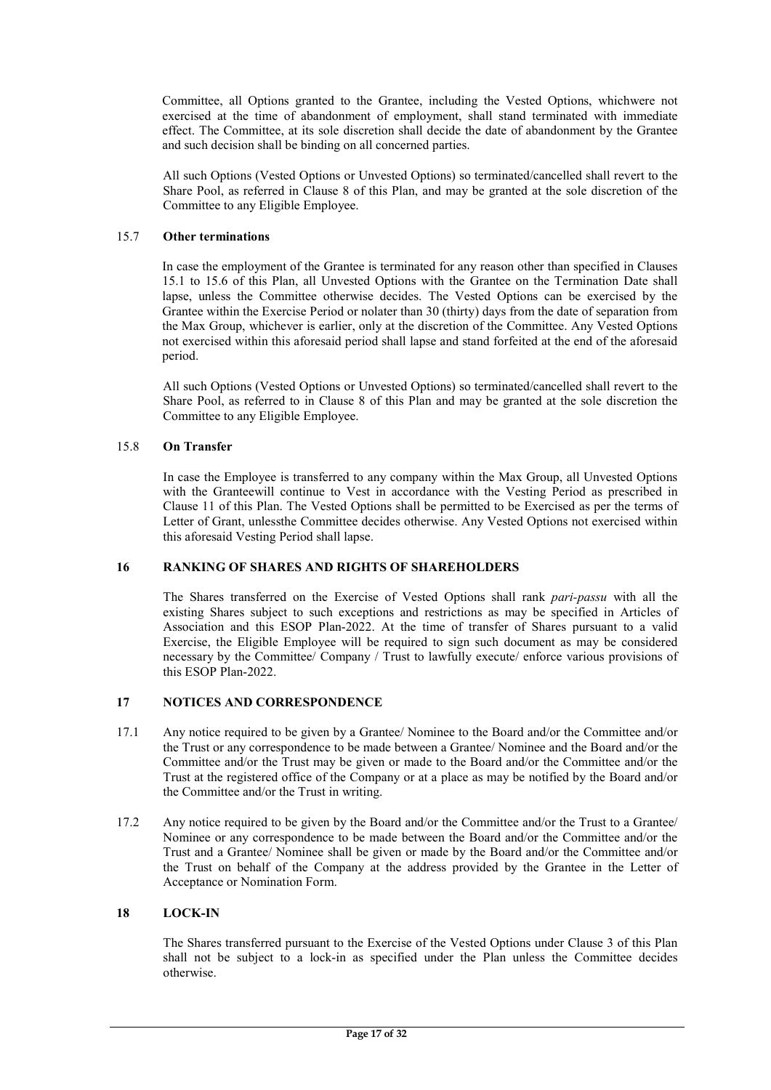Committee, all Options granted to the Grantee, including the Vested Options, whichwere not exercised at the time of abandonment of employment, shall stand terminated with immediate effect. The Committee, at its sole discretion shall decide the date of abandonment by the Grantee and such decision shall be binding on all concerned parties.

All such Options (Vested Options or Unvested Options) so terminated/cancelled shall revert to the Share Pool, as referred in Clause 8 of this Plan, and may be granted at the sole discretion of the Committee to any Eligible Employee.

## 15.7 Other terminations

In case the employment of the Grantee is terminated for any reason other than specified in Clauses 15.1 to 15.6 of this Plan, all Unvested Options with the Grantee on the Termination Date shall lapse, unless the Committee otherwise decides. The Vested Options can be exercised by the Grantee within the Exercise Period or nolater than 30 (thirty) days from the date of separation from the Max Group, whichever is earlier, only at the discretion of the Committee. Any Vested Options not exercised within this aforesaid period shall lapse and stand forfeited at the end of the aforesaid period.

All such Options (Vested Options or Unvested Options) so terminated/cancelled shall revert to the Share Pool, as referred to in Clause 8 of this Plan and may be granted at the sole discretion the Committee to any Eligible Employee.

## 15.8 On Transfer

In case the Employee is transferred to any company within the Max Group, all Unvested Options with the Granteewill continue to Vest in accordance with the Vesting Period as prescribed in Clause 11 of this Plan. The Vested Options shall be permitted to be Exercised as per the terms of Letter of Grant, unlessthe Committee decides otherwise. Any Vested Options not exercised within this aforesaid Vesting Period shall lapse.

#### 16 RANKING OF SHARES AND RIGHTS OF SHAREHOLDERS

The Shares transferred on the Exercise of Vested Options shall rank pari-passu with all the existing Shares subject to such exceptions and restrictions as may be specified in Articles of Association and this ESOP Plan-2022. At the time of transfer of Shares pursuant to a valid Exercise, the Eligible Employee will be required to sign such document as may be considered necessary by the Committee/ Company / Trust to lawfully execute/ enforce various provisions of this ESOP Plan-2022.

# 17 NOTICES AND CORRESPONDENCE

- 17.1 Any notice required to be given by a Grantee/ Nominee to the Board and/or the Committee and/or the Trust or any correspondence to be made between a Grantee/ Nominee and the Board and/or the Committee and/or the Trust may be given or made to the Board and/or the Committee and/or the Trust at the registered office of the Company or at a place as may be notified by the Board and/or the Committee and/or the Trust in writing.
- 17.2 Any notice required to be given by the Board and/or the Committee and/or the Trust to a Grantee/ Nominee or any correspondence to be made between the Board and/or the Committee and/or the Trust and a Grantee/ Nominee shall be given or made by the Board and/or the Committee and/or the Trust on behalf of the Company at the address provided by the Grantee in the Letter of Acceptance or Nomination Form.

### 18 LOCK-IN

The Shares transferred pursuant to the Exercise of the Vested Options under Clause 3 of this Plan shall not be subject to a lock-in as specified under the Plan unless the Committee decides otherwise.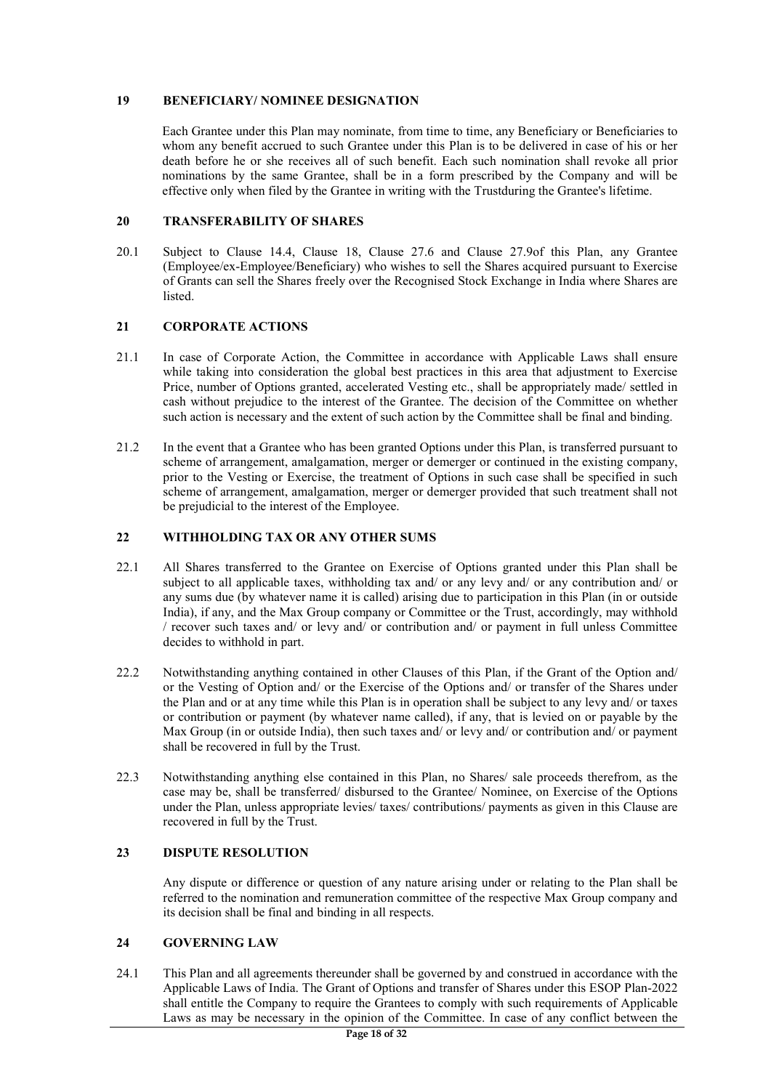## 19 BENEFICIARY/ NOMINEE DESIGNATION

Each Grantee under this Plan may nominate, from time to time, any Beneficiary or Beneficiaries to whom any benefit accrued to such Grantee under this Plan is to be delivered in case of his or her death before he or she receives all of such benefit. Each such nomination shall revoke all prior nominations by the same Grantee, shall be in a form prescribed by the Company and will be effective only when filed by the Grantee in writing with the Trustduring the Grantee's lifetime.

## 20 TRANSFERABILITY OF SHARES

20.1 Subject to Clause 14.4, Clause 18, Clause 27.6 and Clause 27.9of this Plan, any Grantee (Employee/ex-Employee/Beneficiary) who wishes to sell the Shares acquired pursuant to Exercise of Grants can sell the Shares freely over the Recognised Stock Exchange in India where Shares are listed.

## 21 CORPORATE ACTIONS

- 21.1 In case of Corporate Action, the Committee in accordance with Applicable Laws shall ensure while taking into consideration the global best practices in this area that adjustment to Exercise Price, number of Options granted, accelerated Vesting etc., shall be appropriately made/ settled in cash without prejudice to the interest of the Grantee. The decision of the Committee on whether such action is necessary and the extent of such action by the Committee shall be final and binding.
- 21.2 In the event that a Grantee who has been granted Options under this Plan, is transferred pursuant to scheme of arrangement, amalgamation, merger or demerger or continued in the existing company, prior to the Vesting or Exercise, the treatment of Options in such case shall be specified in such scheme of arrangement, amalgamation, merger or demerger provided that such treatment shall not be prejudicial to the interest of the Employee.

## 22 WITHHOLDING TAX OR ANY OTHER SUMS

- 22.1 All Shares transferred to the Grantee on Exercise of Options granted under this Plan shall be subject to all applicable taxes, withholding tax and/ or any levy and/ or any contribution and/ or any sums due (by whatever name it is called) arising due to participation in this Plan (in or outside India), if any, and the Max Group company or Committee or the Trust, accordingly, may withhold / recover such taxes and/ or levy and/ or contribution and/ or payment in full unless Committee decides to withhold in part.
- 22.2 Notwithstanding anything contained in other Clauses of this Plan, if the Grant of the Option and/ or the Vesting of Option and/ or the Exercise of the Options and/ or transfer of the Shares under the Plan and or at any time while this Plan is in operation shall be subject to any levy and/ or taxes or contribution or payment (by whatever name called), if any, that is levied on or payable by the Max Group (in or outside India), then such taxes and/ or levy and/ or contribution and/ or payment shall be recovered in full by the Trust.
- 22.3 Notwithstanding anything else contained in this Plan, no Shares/ sale proceeds therefrom, as the case may be, shall be transferred/ disbursed to the Grantee/ Nominee, on Exercise of the Options under the Plan, unless appropriate levies/ taxes/ contributions/ payments as given in this Clause are recovered in full by the Trust.

### 23 DISPUTE RESOLUTION

Any dispute or difference or question of any nature arising under or relating to the Plan shall be referred to the nomination and remuneration committee of the respective Max Group company and its decision shall be final and binding in all respects.

# 24 GOVERNING LAW

24.1 This Plan and all agreements thereunder shall be governed by and construed in accordance with the Applicable Laws of India. The Grant of Options and transfer of Shares under this ESOP Plan-2022 shall entitle the Company to require the Grantees to comply with such requirements of Applicable Laws as may be necessary in the opinion of the Committee. In case of any conflict between the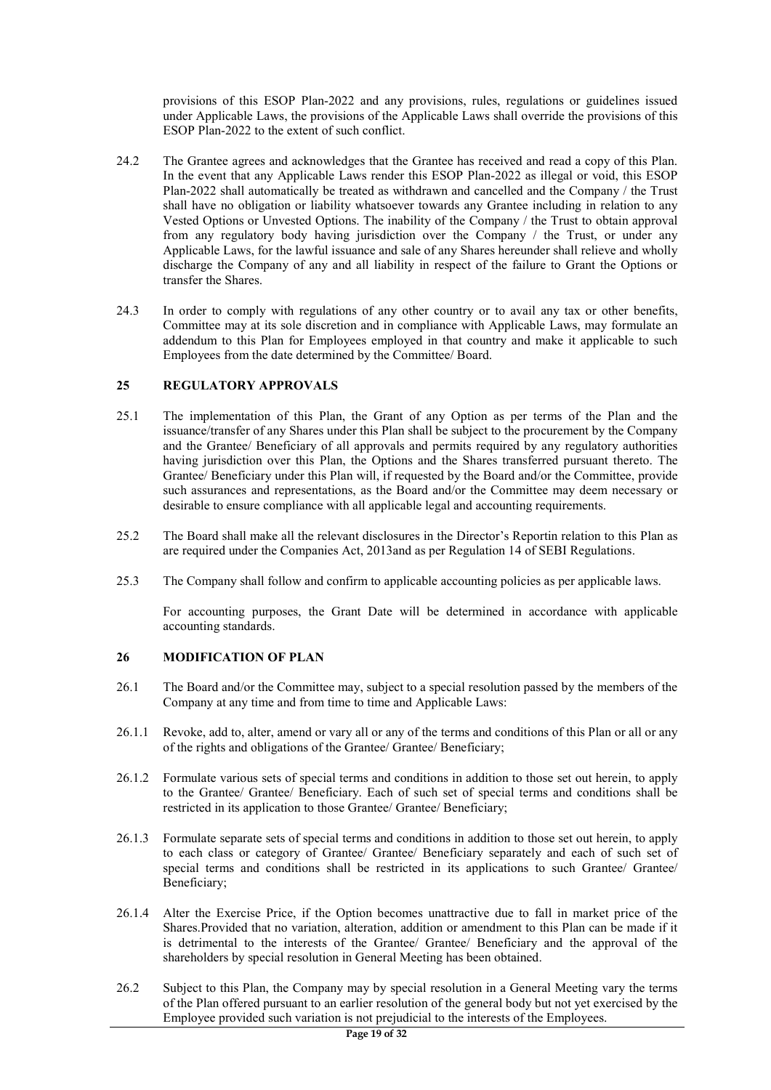provisions of this ESOP Plan-2022 and any provisions, rules, regulations or guidelines issued under Applicable Laws, the provisions of the Applicable Laws shall override the provisions of this ESOP Plan-2022 to the extent of such conflict.

- 24.2 The Grantee agrees and acknowledges that the Grantee has received and read a copy of this Plan. In the event that any Applicable Laws render this ESOP Plan-2022 as illegal or void, this ESOP Plan-2022 shall automatically be treated as withdrawn and cancelled and the Company / the Trust shall have no obligation or liability whatsoever towards any Grantee including in relation to any Vested Options or Unvested Options. The inability of the Company / the Trust to obtain approval from any regulatory body having jurisdiction over the Company / the Trust, or under any Applicable Laws, for the lawful issuance and sale of any Shares hereunder shall relieve and wholly discharge the Company of any and all liability in respect of the failure to Grant the Options or transfer the Shares.
- 24.3 In order to comply with regulations of any other country or to avail any tax or other benefits, Committee may at its sole discretion and in compliance with Applicable Laws, may formulate an addendum to this Plan for Employees employed in that country and make it applicable to such Employees from the date determined by the Committee/ Board.

## 25 REGULATORY APPROVALS

- 25.1 The implementation of this Plan, the Grant of any Option as per terms of the Plan and the issuance/transfer of any Shares under this Plan shall be subject to the procurement by the Company and the Grantee/ Beneficiary of all approvals and permits required by any regulatory authorities having jurisdiction over this Plan, the Options and the Shares transferred pursuant thereto. The Grantee/ Beneficiary under this Plan will, if requested by the Board and/or the Committee, provide such assurances and representations, as the Board and/or the Committee may deem necessary or desirable to ensure compliance with all applicable legal and accounting requirements.
- 25.2 The Board shall make all the relevant disclosures in the Director's Reportin relation to this Plan as are required under the Companies Act, 2013and as per Regulation 14 of SEBI Regulations.
- 25.3 The Company shall follow and confirm to applicable accounting policies as per applicable laws.

For accounting purposes, the Grant Date will be determined in accordance with applicable accounting standards.

## 26 MODIFICATION OF PLAN

- 26.1 The Board and/or the Committee may, subject to a special resolution passed by the members of the Company at any time and from time to time and Applicable Laws:
- 26.1.1 Revoke, add to, alter, amend or vary all or any of the terms and conditions of this Plan or all or any of the rights and obligations of the Grantee/ Grantee/ Beneficiary;
- 26.1.2 Formulate various sets of special terms and conditions in addition to those set out herein, to apply to the Grantee/ Grantee/ Beneficiary. Each of such set of special terms and conditions shall be restricted in its application to those Grantee/ Grantee/ Beneficiary;
- 26.1.3 Formulate separate sets of special terms and conditions in addition to those set out herein, to apply to each class or category of Grantee/ Grantee/ Beneficiary separately and each of such set of special terms and conditions shall be restricted in its applications to such Grantee/ Grantee/ Beneficiary;
- 26.1.4 Alter the Exercise Price, if the Option becomes unattractive due to fall in market price of the Shares.Provided that no variation, alteration, addition or amendment to this Plan can be made if it is detrimental to the interests of the Grantee/ Grantee/ Beneficiary and the approval of the shareholders by special resolution in General Meeting has been obtained.
- 26.2 Subject to this Plan, the Company may by special resolution in a General Meeting vary the terms of the Plan offered pursuant to an earlier resolution of the general body but not yet exercised by the Employee provided such variation is not prejudicial to the interests of the Employees.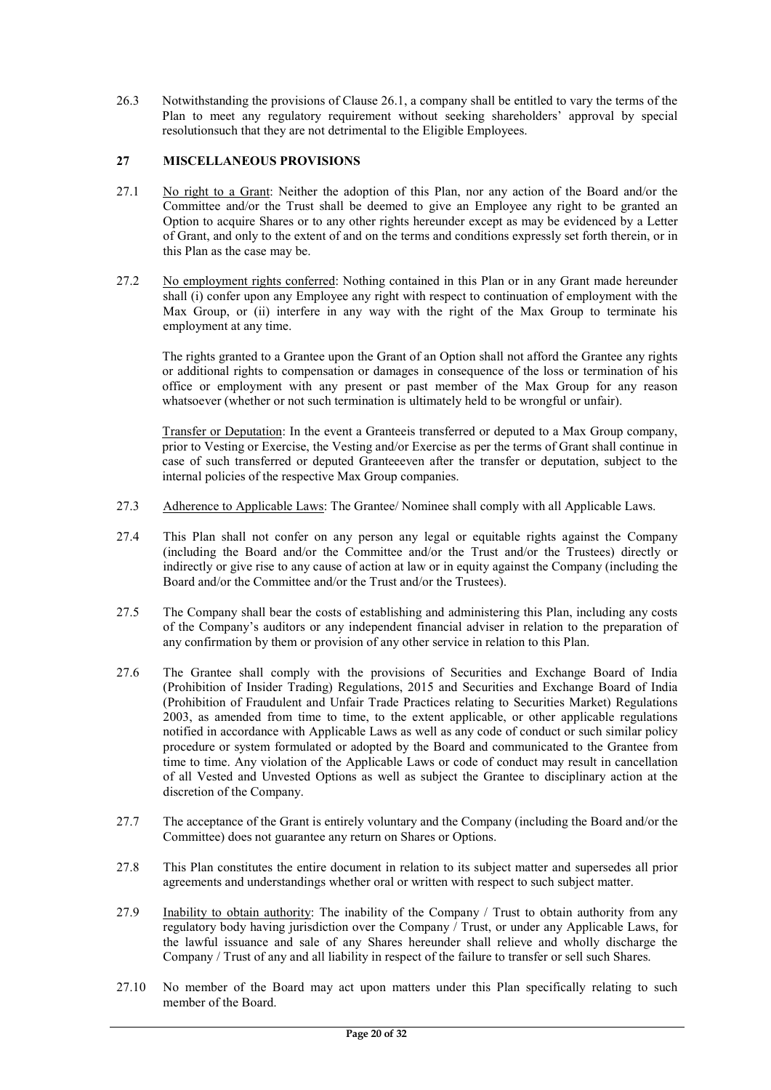26.3 Notwithstanding the provisions of Clause 26.1, a company shall be entitled to vary the terms of the Plan to meet any regulatory requirement without seeking shareholders' approval by special resolutionsuch that they are not detrimental to the Eligible Employees.

## 27 MISCELLANEOUS PROVISIONS

- 27.1 No right to a Grant: Neither the adoption of this Plan, nor any action of the Board and/or the Committee and/or the Trust shall be deemed to give an Employee any right to be granted an Option to acquire Shares or to any other rights hereunder except as may be evidenced by a Letter of Grant, and only to the extent of and on the terms and conditions expressly set forth therein, or in this Plan as the case may be.
- 27.2 No employment rights conferred: Nothing contained in this Plan or in any Grant made hereunder shall (i) confer upon any Employee any right with respect to continuation of employment with the Max Group, or (ii) interfere in any way with the right of the Max Group to terminate his employment at any time.

The rights granted to a Grantee upon the Grant of an Option shall not afford the Grantee any rights or additional rights to compensation or damages in consequence of the loss or termination of his office or employment with any present or past member of the Max Group for any reason whatsoever (whether or not such termination is ultimately held to be wrongful or unfair).

Transfer or Deputation: In the event a Granteeis transferred or deputed to a Max Group company, prior to Vesting or Exercise, the Vesting and/or Exercise as per the terms of Grant shall continue in case of such transferred or deputed Granteeeven after the transfer or deputation, subject to the internal policies of the respective Max Group companies.

- 27.3 Adherence to Applicable Laws: The Grantee/ Nominee shall comply with all Applicable Laws.
- 27.4 This Plan shall not confer on any person any legal or equitable rights against the Company (including the Board and/or the Committee and/or the Trust and/or the Trustees) directly or indirectly or give rise to any cause of action at law or in equity against the Company (including the Board and/or the Committee and/or the Trust and/or the Trustees).
- 27.5 The Company shall bear the costs of establishing and administering this Plan, including any costs of the Company's auditors or any independent financial adviser in relation to the preparation of any confirmation by them or provision of any other service in relation to this Plan.
- 27.6 The Grantee shall comply with the provisions of Securities and Exchange Board of India (Prohibition of Insider Trading) Regulations, 2015 and Securities and Exchange Board of India (Prohibition of Fraudulent and Unfair Trade Practices relating to Securities Market) Regulations 2003, as amended from time to time, to the extent applicable, or other applicable regulations notified in accordance with Applicable Laws as well as any code of conduct or such similar policy procedure or system formulated or adopted by the Board and communicated to the Grantee from time to time. Any violation of the Applicable Laws or code of conduct may result in cancellation of all Vested and Unvested Options as well as subject the Grantee to disciplinary action at the discretion of the Company.
- 27.7 The acceptance of the Grant is entirely voluntary and the Company (including the Board and/or the Committee) does not guarantee any return on Shares or Options.
- 27.8 This Plan constitutes the entire document in relation to its subject matter and supersedes all prior agreements and understandings whether oral or written with respect to such subject matter.
- 27.9 Inability to obtain authority: The inability of the Company / Trust to obtain authority from any regulatory body having jurisdiction over the Company / Trust, or under any Applicable Laws, for the lawful issuance and sale of any Shares hereunder shall relieve and wholly discharge the Company / Trust of any and all liability in respect of the failure to transfer or sell such Shares.
- 27.10 No member of the Board may act upon matters under this Plan specifically relating to such member of the Board.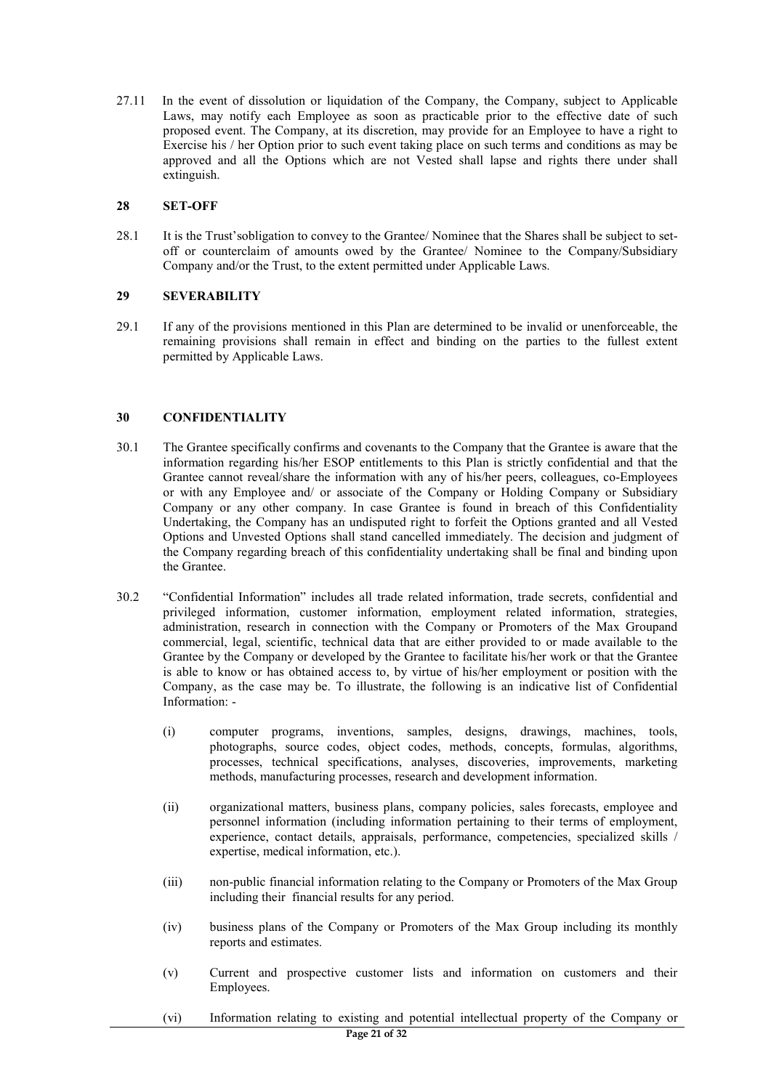27.11 In the event of dissolution or liquidation of the Company, the Company, subject to Applicable Laws, may notify each Employee as soon as practicable prior to the effective date of such proposed event. The Company, at its discretion, may provide for an Employee to have a right to Exercise his / her Option prior to such event taking place on such terms and conditions as may be approved and all the Options which are not Vested shall lapse and rights there under shall extinguish.

### 28 SET-OFF

28.1 It is the Trust'sobligation to convey to the Grantee/ Nominee that the Shares shall be subject to setoff or counterclaim of amounts owed by the Grantee/ Nominee to the Company/Subsidiary Company and/or the Trust, to the extent permitted under Applicable Laws.

## 29 SEVERABILITY

29.1 If any of the provisions mentioned in this Plan are determined to be invalid or unenforceable, the remaining provisions shall remain in effect and binding on the parties to the fullest extent permitted by Applicable Laws.

## 30 CONFIDENTIALITY

- 30.1 The Grantee specifically confirms and covenants to the Company that the Grantee is aware that the information regarding his/her ESOP entitlements to this Plan is strictly confidential and that the Grantee cannot reveal/share the information with any of his/her peers, colleagues, co-Employees or with any Employee and/ or associate of the Company or Holding Company or Subsidiary Company or any other company. In case Grantee is found in breach of this Confidentiality Undertaking, the Company has an undisputed right to forfeit the Options granted and all Vested Options and Unvested Options shall stand cancelled immediately. The decision and judgment of the Company regarding breach of this confidentiality undertaking shall be final and binding upon the Grantee.
- 30.2 "Confidential Information" includes all trade related information, trade secrets, confidential and privileged information, customer information, employment related information, strategies, administration, research in connection with the Company or Promoters of the Max Groupand commercial, legal, scientific, technical data that are either provided to or made available to the Grantee by the Company or developed by the Grantee to facilitate his/her work or that the Grantee is able to know or has obtained access to, by virtue of his/her employment or position with the Company, as the case may be. To illustrate, the following is an indicative list of Confidential Information: -
	- (i) computer programs, inventions, samples, designs, drawings, machines, tools, photographs, source codes, object codes, methods, concepts, formulas, algorithms, processes, technical specifications, analyses, discoveries, improvements, marketing methods, manufacturing processes, research and development information.
	- (ii) organizational matters, business plans, company policies, sales forecasts, employee and personnel information (including information pertaining to their terms of employment, experience, contact details, appraisals, performance, competencies, specialized skills / expertise, medical information, etc.).
	- (iii) non-public financial information relating to the Company or Promoters of the Max Group including their financial results for any period.
	- (iv) business plans of the Company or Promoters of the Max Group including its monthly reports and estimates.
	- (v) Current and prospective customer lists and information on customers and their Employees.
	- (vi) Information relating to existing and potential intellectual property of the Company or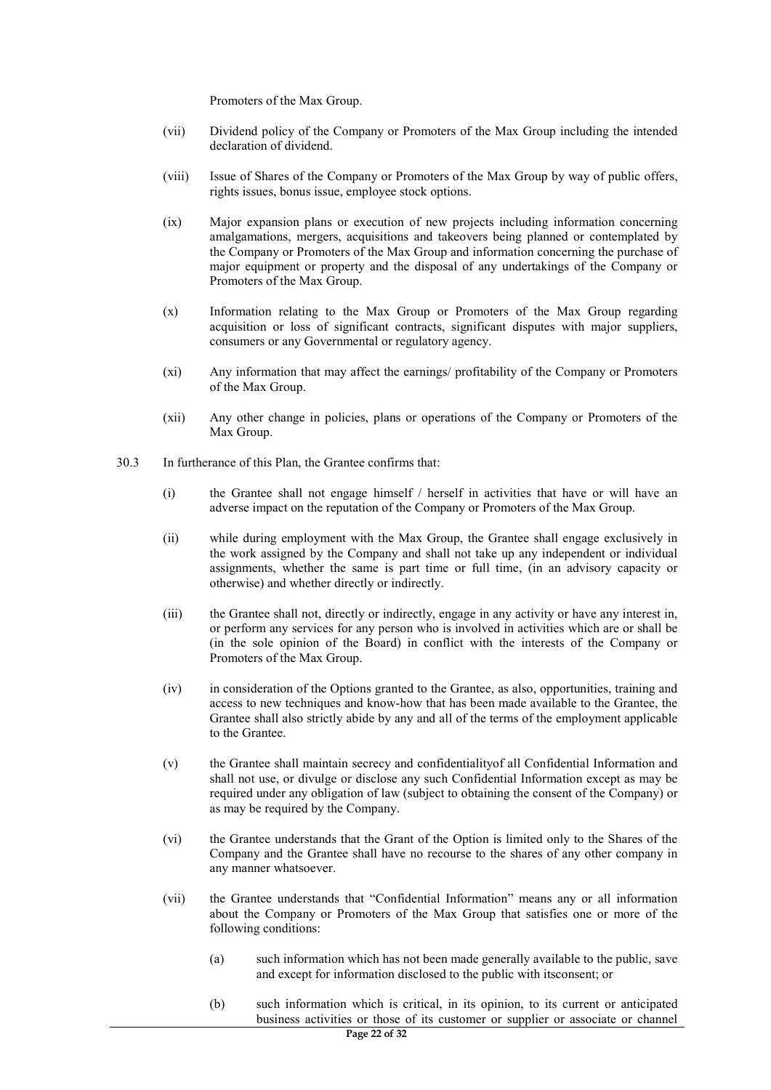Promoters of the Max Group.

- (vii) Dividend policy of the Company or Promoters of the Max Group including the intended declaration of dividend.
- (viii) Issue of Shares of the Company or Promoters of the Max Group by way of public offers, rights issues, bonus issue, employee stock options.
- (ix) Major expansion plans or execution of new projects including information concerning amalgamations, mergers, acquisitions and takeovers being planned or contemplated by the Company or Promoters of the Max Group and information concerning the purchase of major equipment or property and the disposal of any undertakings of the Company or Promoters of the Max Group.
- (x) Information relating to the Max Group or Promoters of the Max Group regarding acquisition or loss of significant contracts, significant disputes with major suppliers, consumers or any Governmental or regulatory agency.
- (xi) Any information that may affect the earnings/ profitability of the Company or Promoters of the Max Group.
- (xii) Any other change in policies, plans or operations of the Company or Promoters of the Max Group.
- 30.3 In furtherance of this Plan, the Grantee confirms that:
	- (i) the Grantee shall not engage himself / herself in activities that have or will have an adverse impact on the reputation of the Company or Promoters of the Max Group.
	- (ii) while during employment with the Max Group, the Grantee shall engage exclusively in the work assigned by the Company and shall not take up any independent or individual assignments, whether the same is part time or full time, (in an advisory capacity or otherwise) and whether directly or indirectly.
	- (iii) the Grantee shall not, directly or indirectly, engage in any activity or have any interest in, or perform any services for any person who is involved in activities which are or shall be (in the sole opinion of the Board) in conflict with the interests of the Company or Promoters of the Max Group.
	- (iv) in consideration of the Options granted to the Grantee, as also, opportunities, training and access to new techniques and know-how that has been made available to the Grantee, the Grantee shall also strictly abide by any and all of the terms of the employment applicable to the Grantee.
	- (v) the Grantee shall maintain secrecy and confidentialityof all Confidential Information and shall not use, or divulge or disclose any such Confidential Information except as may be required under any obligation of law (subject to obtaining the consent of the Company) or as may be required by the Company.
	- (vi) the Grantee understands that the Grant of the Option is limited only to the Shares of the Company and the Grantee shall have no recourse to the shares of any other company in any manner whatsoever.
	- (vii) the Grantee understands that "Confidential Information" means any or all information about the Company or Promoters of the Max Group that satisfies one or more of the following conditions:
		- (a) such information which has not been made generally available to the public, save and except for information disclosed to the public with itsconsent; or
		- (b) such information which is critical, in its opinion, to its current or anticipated business activities or those of its customer or supplier or associate or channel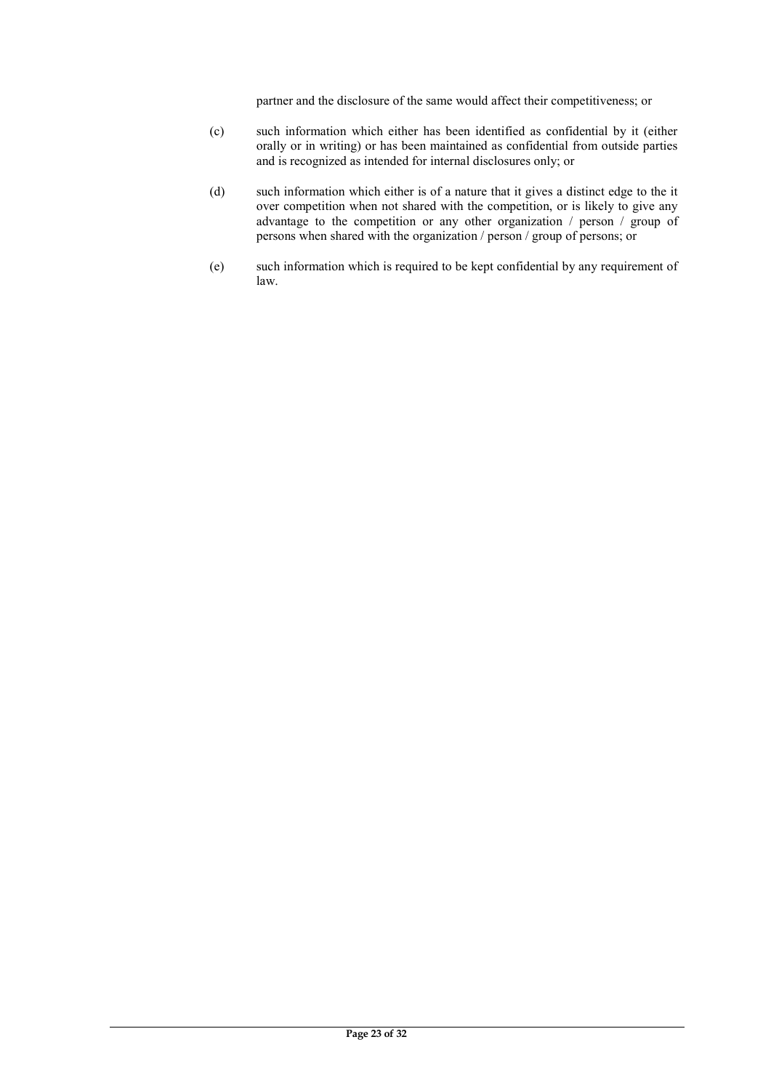partner and the disclosure of the same would affect their competitiveness; or

- (c) such information which either has been identified as confidential by it (either orally or in writing) or has been maintained as confidential from outside parties and is recognized as intended for internal disclosures only; or
- (d) such information which either is of a nature that it gives a distinct edge to the it over competition when not shared with the competition, or is likely to give any advantage to the competition or any other organization  $\ell$  person  $\ell$  group of persons when shared with the organization / person / group of persons; or
- (e) such information which is required to be kept confidential by any requirement of law.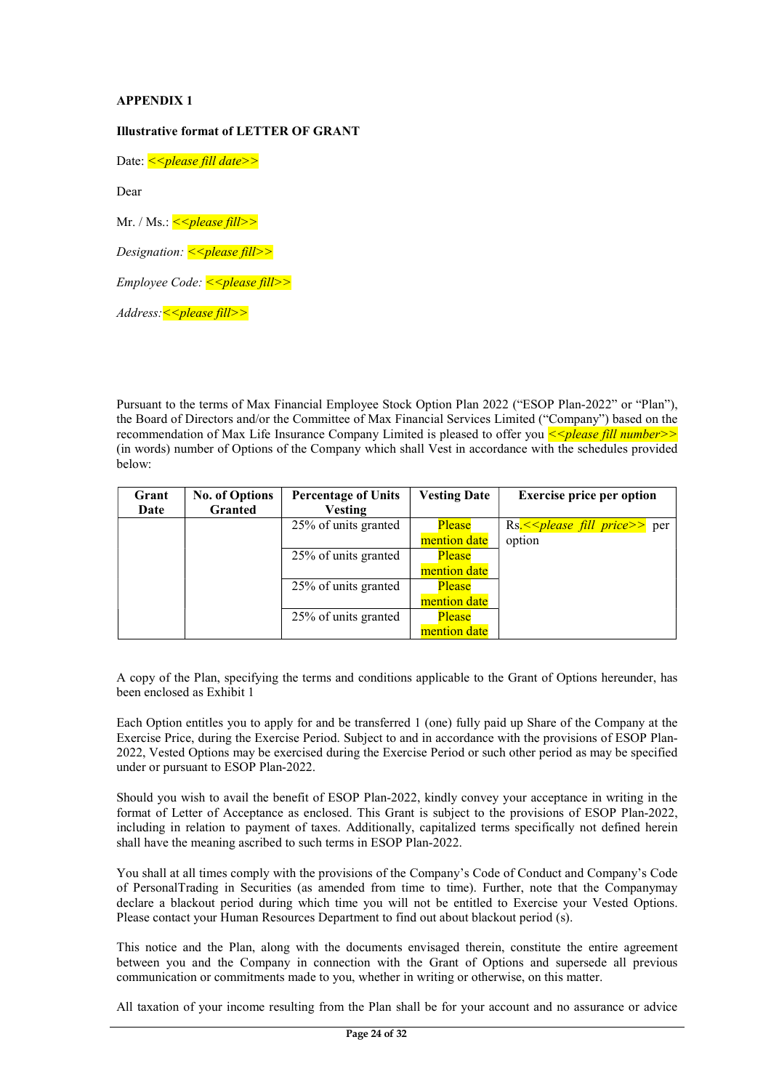## APPENDIX 1

## Illustrative format of LETTER OF GRANT

Date: << *please fill date*>>

Dear

Mr. / Ms.:  $\le$  please fill>>

Designation:  $\leq$ please fill>>

 $Employee Code: <sub>0</sub> = <sub>0</sub> = <sub>0</sub> = <sub>0</sub> = <sub>0</sub> = <sub>0</sub> = <sub>0</sub> = <sub>0</sub> = <sub>0</sub> = <sub>0</sub> = <sub>0</sub> = <sub>0</sub> = <sub>0</sub> = <sub>0</sub> = <sub>0</sub> = <sub>0</sub> = <sub>0</sub> = <sub>0</sub> = <sub>0</sub> = <sub>0</sub> = <sub>0</sub> = <sub>0</sub> = <sub>0</sub> = <sub>0</sub> = <sub>0</sub> = <sub>0</sub> = <sub>0</sub> = <$ 

 $Address: < <:placefill>$ 

Pursuant to the terms of Max Financial Employee Stock Option Plan 2022 ("ESOP Plan-2022" or "Plan"), the Board of Directors and/or the Committee of Max Financial Services Limited ("Company") based on the recommendation of Max Life Insurance Company Limited is pleased to offer you  $\leq$  please fill number>> (in words) number of Options of the Company which shall Vest in accordance with the schedules provided below:

| Grant | <b>No. of Options</b> | <b>Percentage of Units</b> | <b>Vesting Date</b> | <b>Exercise price per option</b>           |
|-------|-----------------------|----------------------------|---------------------|--------------------------------------------|
| Date  | <b>Granted</b>        | <b>Vesting</b>             |                     |                                            |
|       |                       | $25%$ of units granted     | <b>Please</b>       | $\text{Rs.} \leq$ please fill price >> per |
|       |                       |                            | mention date        | option                                     |
|       |                       | 25% of units granted       | Please              |                                            |
|       |                       |                            | mention date        |                                            |
|       |                       | 25% of units granted       | Please              |                                            |
|       |                       |                            | mention date        |                                            |
|       |                       | 25% of units granted       | Please              |                                            |
|       |                       |                            | mention date        |                                            |

A copy of the Plan, specifying the terms and conditions applicable to the Grant of Options hereunder, has been enclosed as Exhibit 1

Each Option entitles you to apply for and be transferred 1 (one) fully paid up Share of the Company at the Exercise Price, during the Exercise Period. Subject to and in accordance with the provisions of ESOP Plan-2022, Vested Options may be exercised during the Exercise Period or such other period as may be specified under or pursuant to ESOP Plan-2022.

Should you wish to avail the benefit of ESOP Plan-2022, kindly convey your acceptance in writing in the format of Letter of Acceptance as enclosed. This Grant is subject to the provisions of ESOP Plan-2022, including in relation to payment of taxes. Additionally, capitalized terms specifically not defined herein shall have the meaning ascribed to such terms in ESOP Plan-2022.

You shall at all times comply with the provisions of the Company's Code of Conduct and Company's Code of PersonalTrading in Securities (as amended from time to time). Further, note that the Companymay declare a blackout period during which time you will not be entitled to Exercise your Vested Options. Please contact your Human Resources Department to find out about blackout period (s).

This notice and the Plan, along with the documents envisaged therein, constitute the entire agreement between you and the Company in connection with the Grant of Options and supersede all previous communication or commitments made to you, whether in writing or otherwise, on this matter.

All taxation of your income resulting from the Plan shall be for your account and no assurance or advice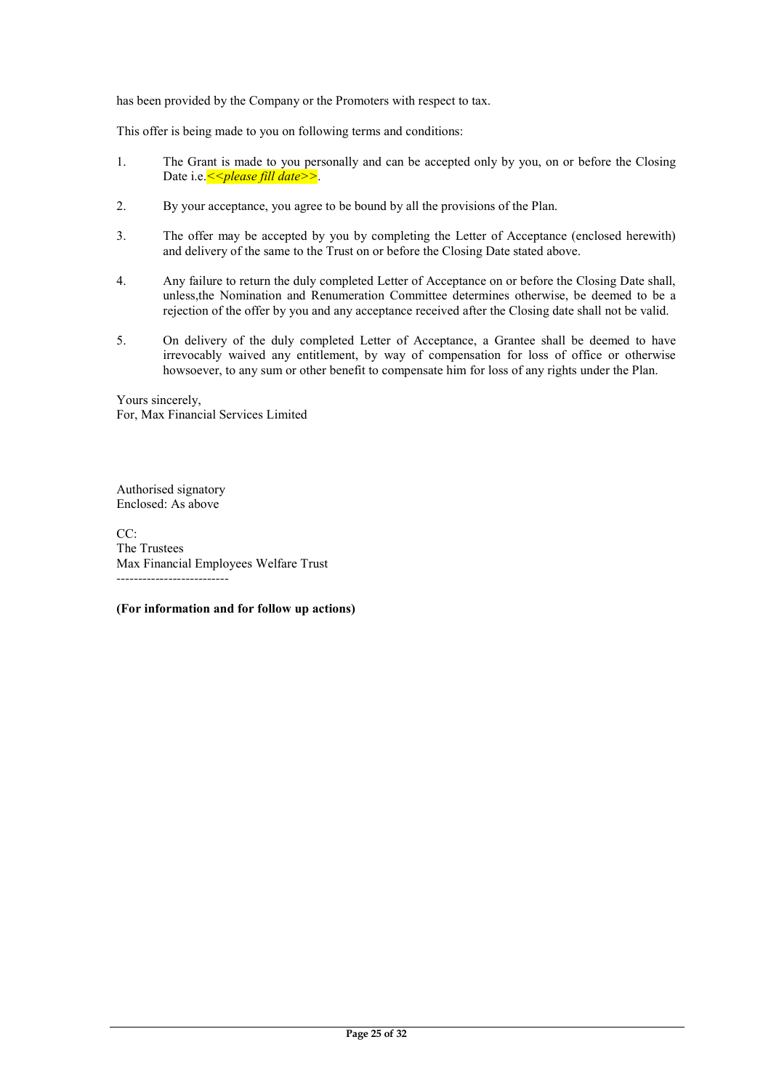has been provided by the Company or the Promoters with respect to tax.

This offer is being made to you on following terms and conditions:

- 1. The Grant is made to you personally and can be accepted only by you, on or before the Closing Date i.e.  $\le$  > please fill date>>.
- 2. By your acceptance, you agree to be bound by all the provisions of the Plan.
- 3. The offer may be accepted by you by completing the Letter of Acceptance (enclosed herewith) and delivery of the same to the Trust on or before the Closing Date stated above.
- 4. Any failure to return the duly completed Letter of Acceptance on or before the Closing Date shall, unless,the Nomination and Renumeration Committee determines otherwise, be deemed to be a rejection of the offer by you and any acceptance received after the Closing date shall not be valid.
- 5. On delivery of the duly completed Letter of Acceptance, a Grantee shall be deemed to have irrevocably waived any entitlement, by way of compensation for loss of office or otherwise howsoever, to any sum or other benefit to compensate him for loss of any rights under the Plan.

Yours sincerely, For, Max Financial Services Limited

Authorised signatory Enclosed: As above

CC: The Trustees Max Financial Employees Welfare Trust --------------------------

(For information and for follow up actions)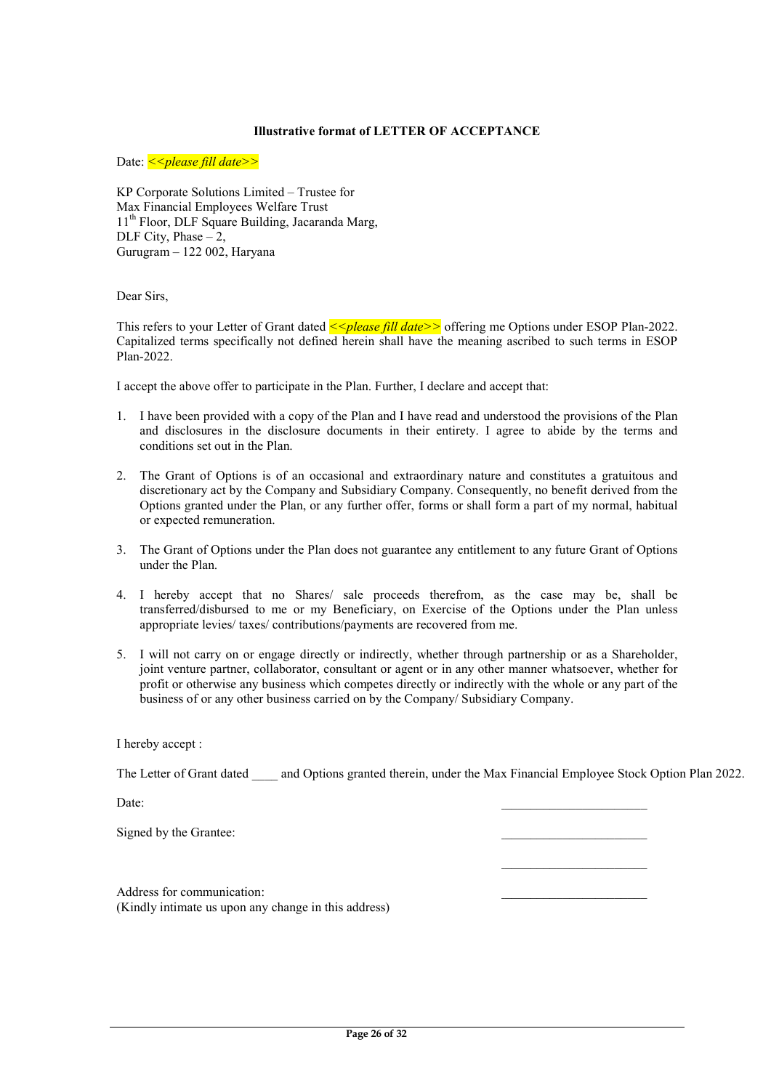## Illustrative format of LETTER OF ACCEPTANCE

Date: << *please fill date*>>

KP Corporate Solutions Limited – Trustee for Max Financial Employees Welfare Trust 11<sup>th</sup> Floor, DLF Square Building, Jacaranda Marg, DLF City, Phase  $-2$ , Gurugram – 122 002, Haryana

Dear Sirs,

This refers to your Letter of Grant dated  $\leq$  please fill date >> offering me Options under ESOP Plan-2022. Capitalized terms specifically not defined herein shall have the meaning ascribed to such terms in ESOP Plan-2022.

I accept the above offer to participate in the Plan. Further, I declare and accept that:

- 1. I have been provided with a copy of the Plan and I have read and understood the provisions of the Plan and disclosures in the disclosure documents in their entirety. I agree to abide by the terms and conditions set out in the Plan.
- 2. The Grant of Options is of an occasional and extraordinary nature and constitutes a gratuitous and discretionary act by the Company and Subsidiary Company. Consequently, no benefit derived from the Options granted under the Plan, or any further offer, forms or shall form a part of my normal, habitual or expected remuneration.
- 3. The Grant of Options under the Plan does not guarantee any entitlement to any future Grant of Options under the Plan.
- 4. I hereby accept that no Shares/ sale proceeds therefrom, as the case may be, shall be transferred/disbursed to me or my Beneficiary, on Exercise of the Options under the Plan unless appropriate levies/ taxes/ contributions/payments are recovered from me.
- 5. I will not carry on or engage directly or indirectly, whether through partnership or as a Shareholder, joint venture partner, collaborator, consultant or agent or in any other manner whatsoever, whether for profit or otherwise any business which competes directly or indirectly with the whole or any part of the business of or any other business carried on by the Company/ Subsidiary Company.

I hereby accept :

The Letter of Grant dated and Options granted therein, under the Max Financial Employee Stock Option Plan 2022.

 $\mathcal{L}_\text{max} = \mathcal{L}_\text{max} = \mathcal{L}_\text{max} = \mathcal{L}_\text{max} = \mathcal{L}_\text{max} = \mathcal{L}_\text{max} = \mathcal{L}_\text{max} = \mathcal{L}_\text{max} = \mathcal{L}_\text{max} = \mathcal{L}_\text{max} = \mathcal{L}_\text{max} = \mathcal{L}_\text{max} = \mathcal{L}_\text{max} = \mathcal{L}_\text{max} = \mathcal{L}_\text{max} = \mathcal{L}_\text{max} = \mathcal{L}_\text{max} = \mathcal{L}_\text{max} = \mathcal{$ 

 $Date:$ 

Signed by the Grantee:

Address for communication: (Kindly intimate us upon any change in this address)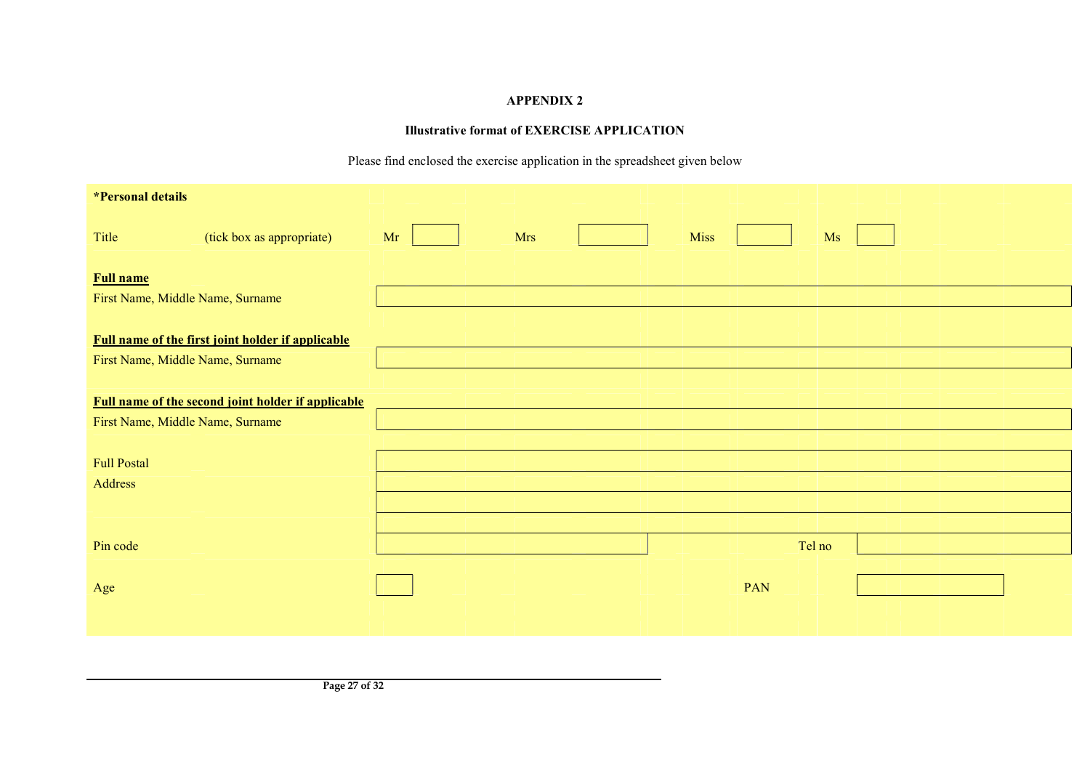# APPENDIX 2

# Illustrative format of EXERCISE APPLICATION

Please find enclosed the exercise application in the spreadsheet given below

| *Personal details                |                                                           |    |            |  |                   |  |
|----------------------------------|-----------------------------------------------------------|----|------------|--|-------------------|--|
| Title                            | (tick box as appropriate)                                 | Mr | <b>Mrs</b> |  | <b>Miss</b><br>Ms |  |
| <b>Full name</b>                 |                                                           |    |            |  |                   |  |
| First Name, Middle Name, Surname |                                                           |    |            |  |                   |  |
|                                  | <b>Full name of the first joint holder if applicable</b>  |    |            |  |                   |  |
| First Name, Middle Name, Surname |                                                           |    |            |  |                   |  |
|                                  |                                                           |    |            |  |                   |  |
|                                  | <b>Full name of the second joint holder if applicable</b> |    |            |  |                   |  |
| First Name, Middle Name, Surname |                                                           |    |            |  |                   |  |
|                                  |                                                           |    |            |  |                   |  |
| <b>Full Postal</b>               |                                                           |    |            |  |                   |  |
| Address                          |                                                           |    |            |  |                   |  |
|                                  |                                                           |    |            |  |                   |  |
|                                  |                                                           |    |            |  |                   |  |
| Pin code                         |                                                           |    |            |  | Tel no            |  |
|                                  |                                                           |    |            |  |                   |  |
| Age                              |                                                           |    |            |  | PAN               |  |
|                                  |                                                           |    |            |  |                   |  |
|                                  |                                                           |    |            |  |                   |  |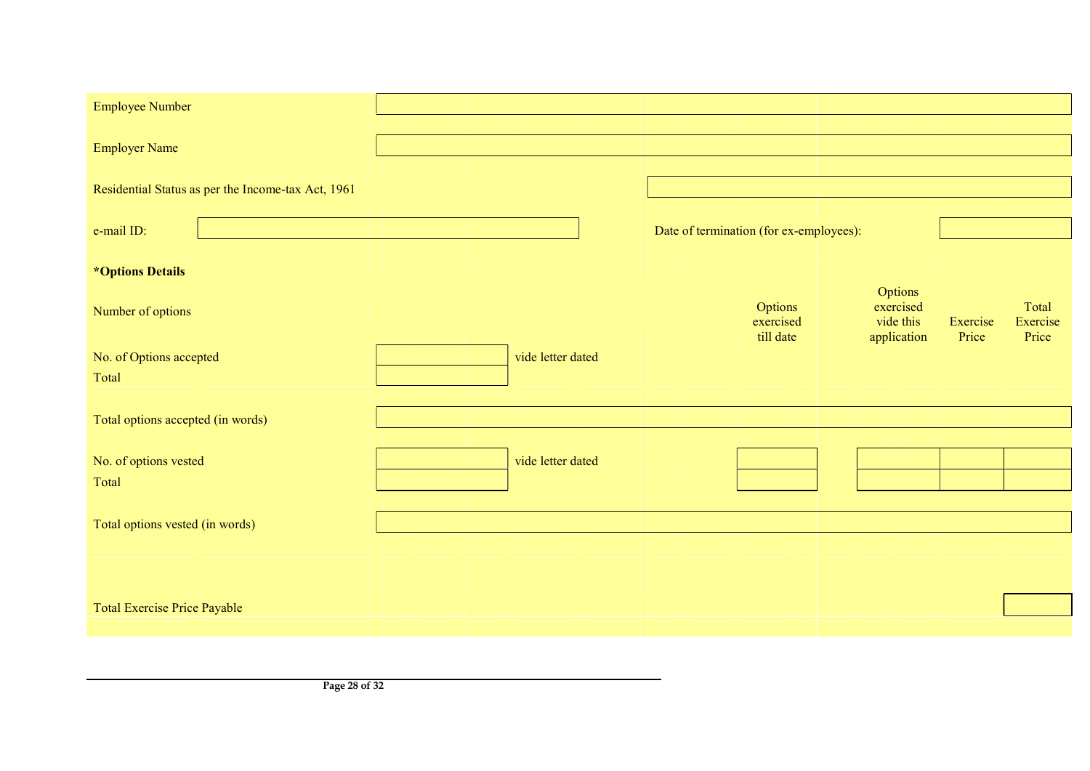| <b>Employee Number</b>                             |  |                   |                                         |                          |                   |                   |
|----------------------------------------------------|--|-------------------|-----------------------------------------|--------------------------|-------------------|-------------------|
|                                                    |  |                   |                                         |                          |                   |                   |
| <b>Employer Name</b>                               |  |                   |                                         |                          |                   |                   |
|                                                    |  |                   |                                         |                          |                   |                   |
| Residential Status as per the Income-tax Act, 1961 |  |                   |                                         |                          |                   |                   |
|                                                    |  |                   |                                         |                          |                   |                   |
| e-mail ID:                                         |  |                   | Date of termination (for ex-employees): |                          |                   |                   |
|                                                    |  |                   |                                         |                          |                   |                   |
| <i><b>*Options Details</b></i>                     |  |                   |                                         | Options                  |                   |                   |
| Number of options                                  |  |                   | Options                                 | exercised                |                   | Total             |
|                                                    |  |                   | exercised<br>till date                  | vide this<br>application | Exercise<br>Price | Exercise<br>Price |
| No. of Options accepted                            |  | vide letter dated |                                         |                          |                   |                   |
| Total                                              |  |                   |                                         |                          |                   |                   |
|                                                    |  |                   |                                         |                          |                   |                   |
| Total options accepted (in words)                  |  |                   |                                         |                          |                   |                   |
|                                                    |  |                   |                                         |                          |                   |                   |
| No. of options vested                              |  | vide letter dated |                                         |                          |                   |                   |
| Total                                              |  |                   |                                         |                          |                   |                   |
|                                                    |  |                   |                                         |                          |                   |                   |
| Total options vested (in words)                    |  |                   |                                         |                          |                   |                   |
|                                                    |  |                   |                                         |                          |                   |                   |
|                                                    |  |                   |                                         |                          |                   |                   |
|                                                    |  |                   |                                         |                          |                   |                   |
| <b>Total Exercise Price Payable</b>                |  |                   |                                         |                          |                   |                   |
|                                                    |  |                   |                                         |                          |                   |                   |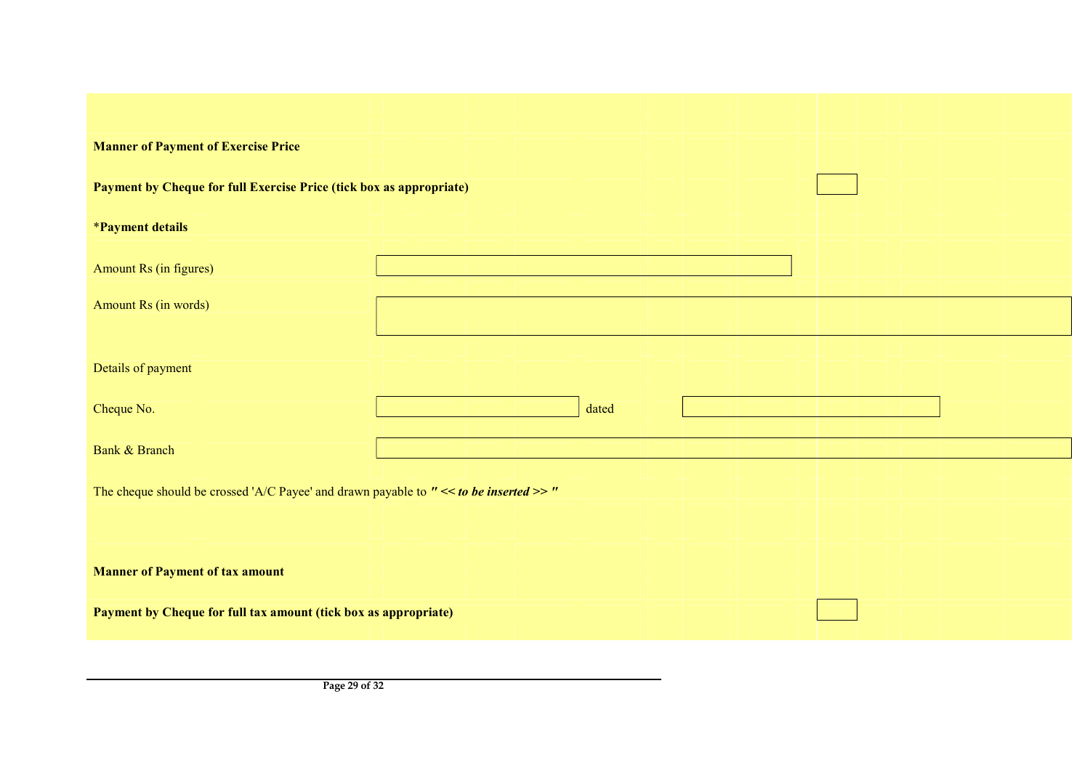| <b>Manner of Payment of Exercise Price</b>                                                |                                                                 |  |  |  |  |  |  |
|-------------------------------------------------------------------------------------------|-----------------------------------------------------------------|--|--|--|--|--|--|
| Payment by Cheque for full Exercise Price (tick box as appropriate)                       |                                                                 |  |  |  |  |  |  |
| <i><b>*Payment details</b></i>                                                            |                                                                 |  |  |  |  |  |  |
| Amount Rs (in figures)                                                                    |                                                                 |  |  |  |  |  |  |
| Amount Rs (in words)                                                                      |                                                                 |  |  |  |  |  |  |
| Details of payment                                                                        |                                                                 |  |  |  |  |  |  |
| Cheque No.                                                                                | dated                                                           |  |  |  |  |  |  |
| <b>Bank &amp; Branch</b>                                                                  |                                                                 |  |  |  |  |  |  |
| The cheque should be crossed 'A/C Payee' and drawn payable to $"<<$ to be inserted >> $"$ |                                                                 |  |  |  |  |  |  |
|                                                                                           |                                                                 |  |  |  |  |  |  |
| <b>Manner of Payment of tax amount</b>                                                    |                                                                 |  |  |  |  |  |  |
|                                                                                           | Payment by Cheque for full tax amount (tick box as appropriate) |  |  |  |  |  |  |
|                                                                                           |                                                                 |  |  |  |  |  |  |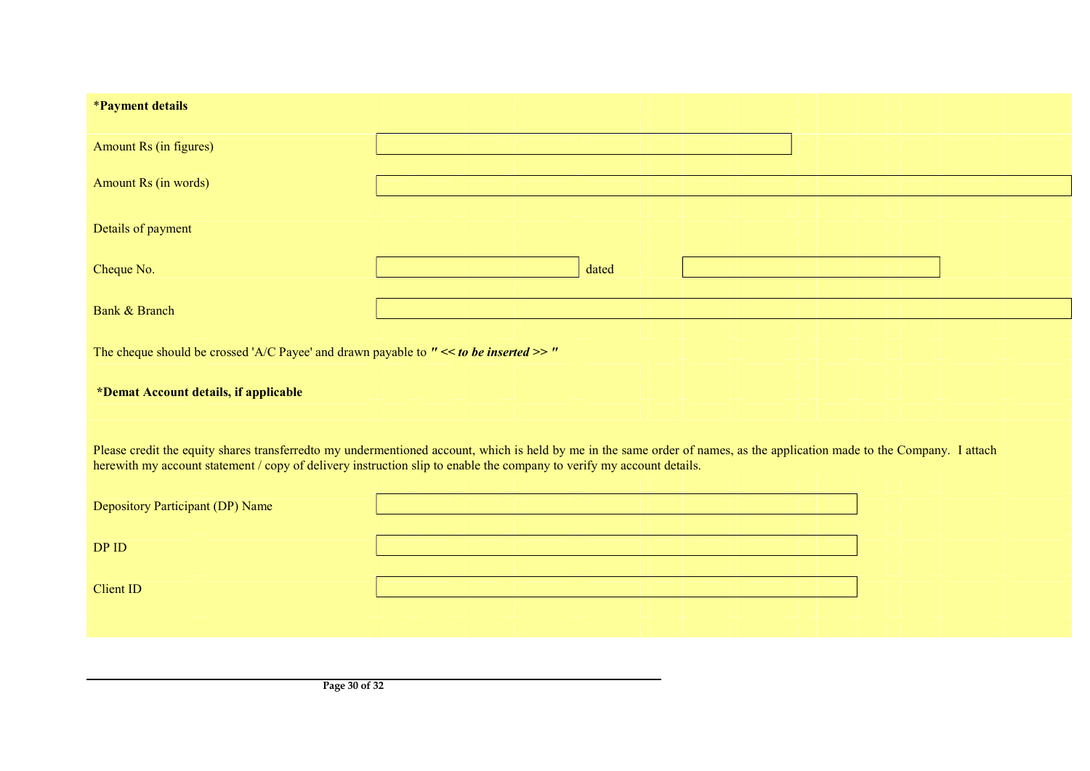| <i><b>*Payment details</b></i>                                                                                                                                                                                                                                                                     |       |  |  |  |  |  |  |  |  |
|----------------------------------------------------------------------------------------------------------------------------------------------------------------------------------------------------------------------------------------------------------------------------------------------------|-------|--|--|--|--|--|--|--|--|
|                                                                                                                                                                                                                                                                                                    |       |  |  |  |  |  |  |  |  |
| Amount Rs (in figures)                                                                                                                                                                                                                                                                             |       |  |  |  |  |  |  |  |  |
| Amount Rs (in words)                                                                                                                                                                                                                                                                               |       |  |  |  |  |  |  |  |  |
| Details of payment                                                                                                                                                                                                                                                                                 |       |  |  |  |  |  |  |  |  |
| Cheque No.                                                                                                                                                                                                                                                                                         | dated |  |  |  |  |  |  |  |  |
|                                                                                                                                                                                                                                                                                                    |       |  |  |  |  |  |  |  |  |
| Bank & Branch                                                                                                                                                                                                                                                                                      |       |  |  |  |  |  |  |  |  |
|                                                                                                                                                                                                                                                                                                    |       |  |  |  |  |  |  |  |  |
| The cheque should be crossed 'A/C Payee' and drawn payable to $"<<$ to be inserted >> $"$                                                                                                                                                                                                          |       |  |  |  |  |  |  |  |  |
| *Demat Account details, if applicable                                                                                                                                                                                                                                                              |       |  |  |  |  |  |  |  |  |
| Please credit the equity shares transferredto my undermentioned account, which is held by me in the same order of names, as the application made to the Company. I attach<br>herewith my account statement / copy of delivery instruction slip to enable the company to verify my account details. |       |  |  |  |  |  |  |  |  |
| Depository Participant (DP) Name                                                                                                                                                                                                                                                                   |       |  |  |  |  |  |  |  |  |
| DP ID                                                                                                                                                                                                                                                                                              |       |  |  |  |  |  |  |  |  |
| <b>Client ID</b>                                                                                                                                                                                                                                                                                   |       |  |  |  |  |  |  |  |  |
|                                                                                                                                                                                                                                                                                                    |       |  |  |  |  |  |  |  |  |
|                                                                                                                                                                                                                                                                                                    |       |  |  |  |  |  |  |  |  |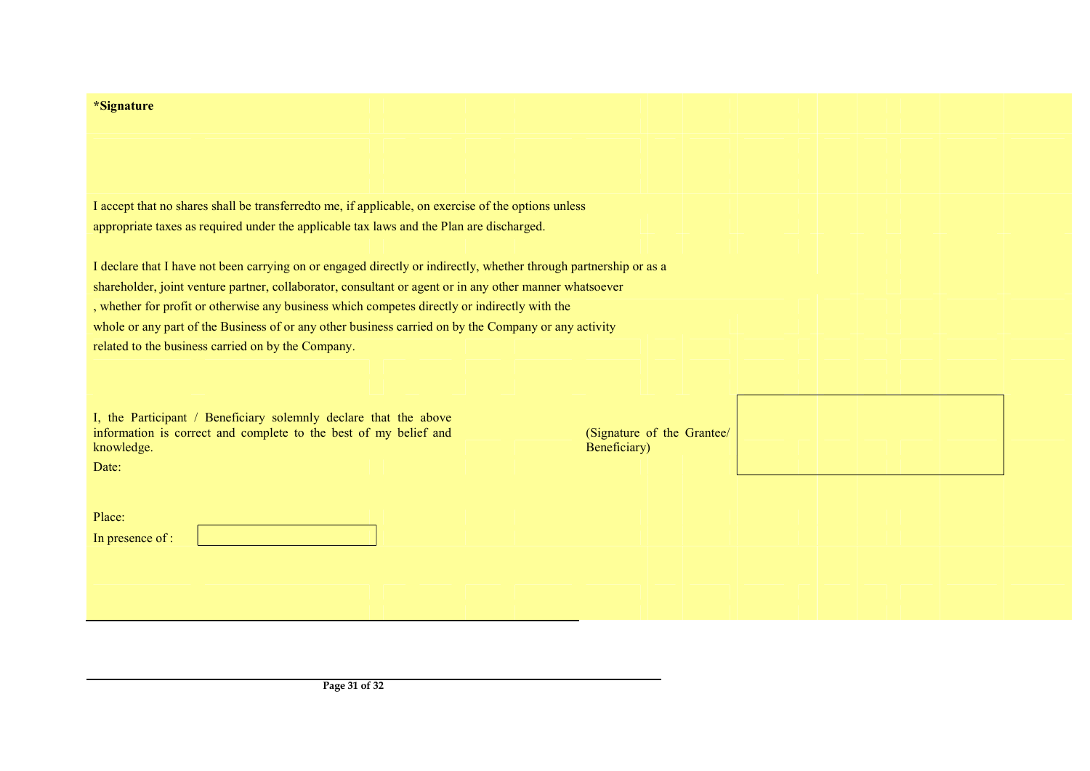| *Signature                                                                                                        |                                            |
|-------------------------------------------------------------------------------------------------------------------|--------------------------------------------|
|                                                                                                                   |                                            |
|                                                                                                                   |                                            |
|                                                                                                                   |                                            |
|                                                                                                                   |                                            |
| I accept that no shares shall be transferred to me, if applicable, on exercise of the options unless              |                                            |
| appropriate taxes as required under the applicable tax laws and the Plan are discharged.                          |                                            |
|                                                                                                                   |                                            |
| I declare that I have not been carrying on or engaged directly or indirectly, whether through partnership or as a |                                            |
| shareholder, joint venture partner, collaborator, consultant or agent or in any other manner whatsoever           |                                            |
| , whether for profit or otherwise any business which competes directly or indirectly with the                     |                                            |
| whole or any part of the Business of or any other business carried on by the Company or any activity              |                                            |
| related to the business carried on by the Company.                                                                |                                            |
|                                                                                                                   |                                            |
|                                                                                                                   |                                            |
| I, the Participant / Beneficiary solemnly declare that the above                                                  |                                            |
| information is correct and complete to the best of my belief and<br>knowledge.                                    | (Signature of the Grantee/<br>Beneficiary) |
| Date:                                                                                                             |                                            |
|                                                                                                                   |                                            |
|                                                                                                                   |                                            |
| Place:                                                                                                            |                                            |
| In presence of :                                                                                                  |                                            |
|                                                                                                                   |                                            |
|                                                                                                                   |                                            |
|                                                                                                                   |                                            |